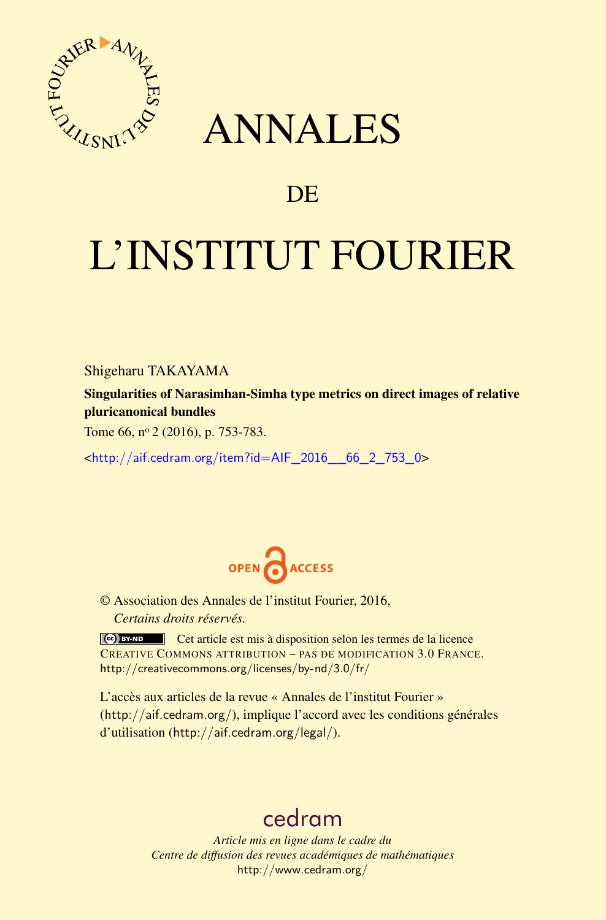

## ANNALES

### **DE**

# L'INSTITUT FOURIER

Shigeharu TAKAYAMA

Singularities of Narasimhan-Simha type metrics on direct images of relative pluricanonical bundles

Tome 66, nº 2 (2016), p. 753-783.

<[http://aif.cedram.org/item?id=AIF\\_2016\\_\\_66\\_2\\_753\\_0](http://aif.cedram.org/item?id=AIF_2016__66_2_753_0)>



© Association des Annales de l'institut Fourier, 2016, *Certains droits réservés.*

Cet article est mis à disposition selon les termes de la licence CREATIVE COMMONS ATTRIBUTION – PAS DE MODIFICATION 3.0 FRANCE. <http://creativecommons.org/licenses/by-nd/3.0/fr/>

L'accès aux articles de la revue « Annales de l'institut Fourier » (<http://aif.cedram.org/>), implique l'accord avec les conditions générales d'utilisation (<http://aif.cedram.org/legal/>).

## [cedram](http://www.cedram.org/)

*Article mis en ligne dans le cadre du Centre de diffusion des revues académiques de mathématiques* <http://www.cedram.org/>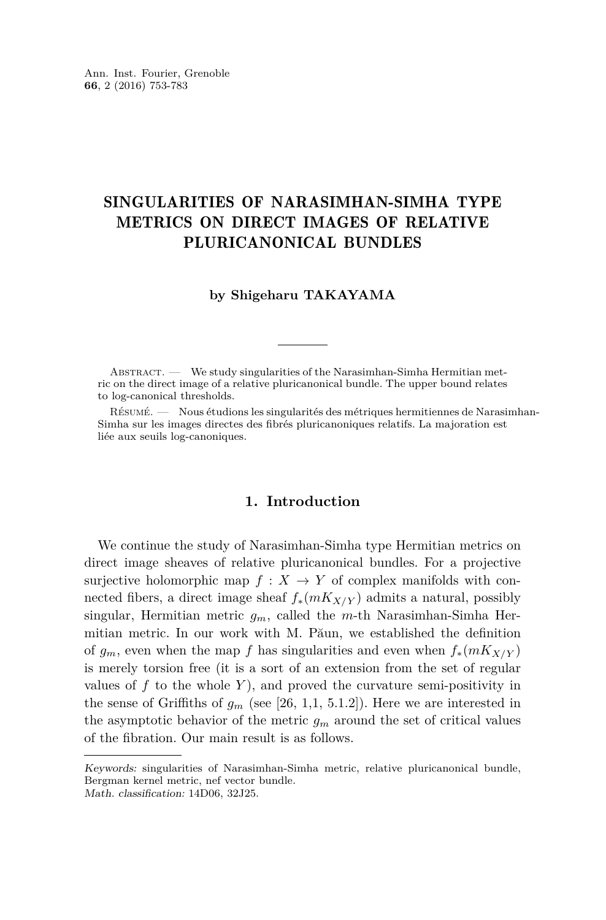#### SINGULARITIES OF NARASIMHAN-SIMHA TYPE METRICS ON DIRECT IMAGES OF RELATIVE PLURICANONICAL BUNDLES

#### **by Shigeharu TAKAYAMA**

ABSTRACT. - We study singularities of the Narasimhan-Simha Hermitian metric on the direct image of a relative pluricanonical bundle. The upper bound relates to log-canonical thresholds.

Résumé. — Nous étudions les singularités des métriques hermitiennes de Narasimhan-Simha sur les images directes des fibrés pluricanoniques relatifs. La majoration est liée aux seuils log-canoniques.

#### **1. Introduction**

We continue the study of Narasimhan-Simha type Hermitian metrics on direct image sheaves of relative pluricanonical bundles. For a projective surjective holomorphic map  $f: X \to Y$  of complex manifolds with connected fibers, a direct image sheaf  $f_*(mK_{X/Y})$  admits a natural, possibly singular, Hermitian metric *gm*, called the *m*-th Narasimhan-Simha Hermitian metric. In our work with M. Păun, we established the definition of  $g_m$ , even when the map f has singularities and even when  $f_*(mK_{X/Y})$ is merely torsion free (it is a sort of an extension from the set of regular values of  $f$  to the whole  $Y$ ), and proved the curvature semi-positivity in the sense of Griffiths of  $g_m$  (see [\[26,](#page-30-0) 1,1, 5.1.2]). Here we are interested in the asymptotic behavior of the metric  $g_m$  around the set of critical values of the fibration. Our main result is as follows.

Keywords: singularities of Narasimhan-Simha metric, relative pluricanonical bundle, Bergman kernel metric, nef vector bundle. Math. classification: 14D06, 32J25.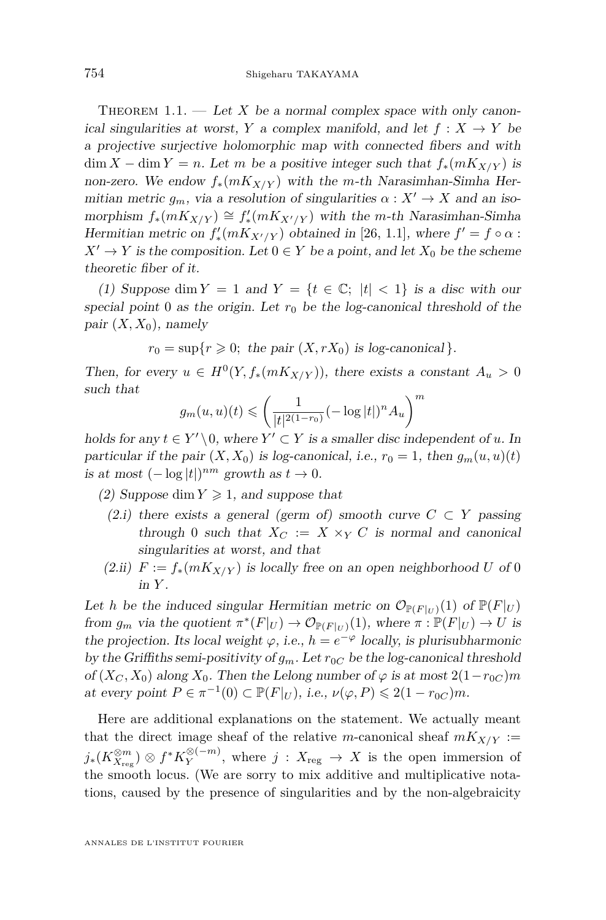<span id="page-2-0"></span>THEOREM 1.1. — Let X be a normal complex space with only canonical singularities at worst, *Y* a complex manifold, and let  $f: X \rightarrow Y$  be a projective surjective holomorphic map with connected fibers and with  $\dim X - \dim Y = n$ . Let *m* be a positive integer such that  $f_*(mK_{X/Y})$  is non-zero. We endow  $f_*(mK_{X/Y})$  with the *m*-th Narasimhan-Simha Hermitian metric  $g_m$ , via a resolution of singularities  $\alpha: X' \to X$  and an iso $m$  morphism  $f_*(mK_{X/Y}) \cong f'_*(mK_{X'/Y})$  with the *m*-th Narasimhan-Simha Hermitian metric on  $f'_{*}(mK_{X'/Y})$  obtained in [\[26,](#page-30-0) 1.1], where  $f' = f \circ \alpha$ :  $X' \to Y$  is the composition. Let  $0 \in Y$  be a point, and let  $X_0$  be the scheme theoretic fiber of it.

(1) Suppose dim  $Y = 1$  and  $Y = \{t \in \mathbb{C}; |t| < 1\}$  is a disc with our special point 0 as the origin. Let  $r_0$  be the log-canonical threshold of the pair  $(X, X_0)$ , namely

 $r_0 = \sup\{r \geq 0;$  the pair  $(X, rX_0)$  is log-canonical }*.* 

Then, for every  $u \in H^0(Y, f_*(mK_{X/Y}))$ , there exists a constant  $A_u > 0$ such that

$$
g_m(u,u)(t) \leqslant \left(\frac{1}{|t|^{2(1-r_0)}}(-\log|t|)^nA_u\right)^m
$$

holds for any  $t \in Y' \setminus 0$ , where  $Y' \subset Y$  is a smaller disc independent of *u*. In particular if the pair  $(X, X_0)$  is log-canonical, i.e.,  $r_0 = 1$ , then  $g_m(u, u)(t)$ *is at most*  $(-\log|t|)^{nm}$  growth as  $t \to 0$ .

(2) Suppose dim  $Y \geq 1$ , and suppose that

- (2.i) there exists a general (germ of) smooth curve  $C \subset Y$  passing through 0 such that  $X_C := X \times_Y C$  is normal and canonical singularities at worst, and that
- (2.ii)  $F := f_*(mK_{X/Y})$  is locally free on an open neighborhood U of 0 in *Y* .

Let *h* be the induced singular Hermitian metric on  $\mathcal{O}_{\mathbb{P}(F|_U)}(1)$  of  $\mathbb{P}(F|_U)$ from  $g_m$  via the quotient  $\pi^*(F|_U) \to \mathcal{O}_{\mathbb{P}(F|_U)}(1)$ , where  $\pi : \mathbb{P}(F|_U) \to U$  is the projection. Its local weight  $\varphi$ , i.e.,  $h = e^{-\varphi}$  locally, is plurisubharmonic by the Griffiths semi-positivity of  $g_m$ . Let  $r_{0C}$  be the log-canonical threshold of  $(X_C, X_0)$  along  $X_0$ . Then the Lelong number of  $\varphi$  is at most  $2(1-r_{0C})m$ at every point  $P \in \pi^{-1}(0) \subset \mathbb{P}(F|_U)$ , i.e.,  $\nu(\varphi, P) \leq 2(1 - r_{0C})m$ .

Here are additional explanations on the statement. We actually meant that the direct image sheaf of the relative *m*-canonical sheaf  $mK_{X/Y}$  :=  $j_*(K_{X_{\mathrm{reg}}}^{\otimes m})$  ⊗  $f^*K_Y^{\otimes (-m)}$  $Y$ <sup> $\otimes$ (-*m*)</sup>, where *j* :  $X_{reg} \to X$  is the open immersion of the smooth locus. (We are sorry to mix additive and multiplicative notations, caused by the presence of singularities and by the non-algebraicity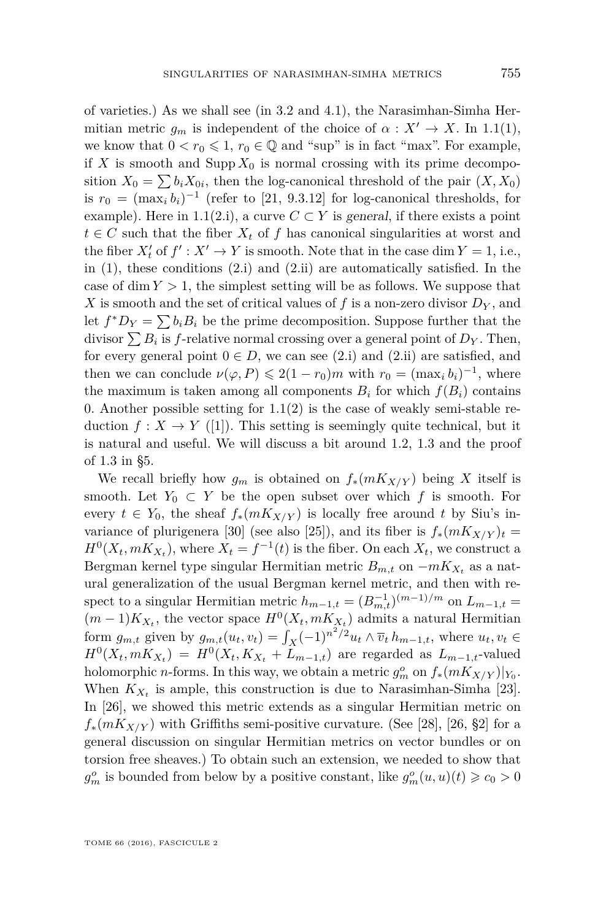of varieties.) As we shall see (in [3.2](#page-14-0) and [4.1\)](#page-19-0), the Narasimhan-Simha Hermitian metric  $g_m$  is independent of the choice of  $\alpha : X' \to X$ . In [1.1\(](#page-2-0)1), we know that  $0 < r_0 \leq 1$ ,  $r_0 \in \mathbb{Q}$  and "sup" is in fact "max". For example, if *X* is smooth and Supp  $X_0$  is normal crossing with its prime decomposition  $X_0 = \sum b_i X_{0i}$ , then the log-canonical threshold of the pair  $(X, X_0)$ is  $r_0 = (\max_i b_i)^{-1}$  (refer to [\[21,](#page-30-1) 9.3.12] for log-canonical thresholds, for example). Here in [1.1\(](#page-2-0)2.i), a curve  $C \subset Y$  is general, if there exists a point  $t \in C$  such that the fiber  $X_t$  of f has canonical singularities at worst and the fiber  $X'_t$  of  $f' : X' \to Y$  is smooth. Note that in the case dim  $Y = 1$ , i.e., in  $(1)$ , these conditions  $(2.1)$  and  $(2.1i)$  are automatically satisfied. In the case of dim  $Y > 1$ , the simplest setting will be as follows. We suppose that X is smooth and the set of critical values of f is a non-zero divisor  $D<sub>Y</sub>$ , and let  $f^*D_Y = \sum b_i B_i$  be the prime decomposition. Suppose further that the divisor  $\sum B_i$  is *f*-relative normal crossing over a general point of  $D_Y$ . Then, for every general point  $0 \in D$ , we can see (2.i) and (2.ii) are satisfied, and then we can conclude  $\nu(\varphi, P) \leq 2(1 - r_0)m$  with  $r_0 = (\max_i b_i)^{-1}$ , where the maximum is taken among all components  $B_i$  for which  $f(B_i)$  contains 0. Another possible setting for  $1.1(2)$  $1.1(2)$  is the case of weakly semi-stable reduction  $f: X \to Y$  ([\[1\]](#page-29-0)). This setting is seemingly quite technical, but it is natural and useful. We will discuss a bit around [1.2,](#page-4-0) [1.3](#page-5-0) and the proof of [1.3](#page-5-0) in [§5.](#page-25-0)

We recall briefly how  $g_m$  is obtained on  $f_*(mK_{X/Y})$  being X itself is smooth. Let  $Y_0 \subset Y$  be the open subset over which f is smooth. For every  $t \in Y_0$ , the sheaf  $f_*(mK_{X/Y})$  is locally free around *t* by Siu's in-variance of plurigenera [\[30\]](#page-31-0) (see also [\[25\]](#page-30-2)), and its fiber is  $f_*(mK_{X/Y})_t =$  $H^0(X_t, mK_{X_t})$ , where  $X_t = f^{-1}(t)$  is the fiber. On each  $X_t$ , we construct a Bergman kernel type singular Hermitian metric  $B_{m,t}$  on  $-mK_{X_t}$  as a natural generalization of the usual Bergman kernel metric, and then with respect to a singular Hermitian metric  $h_{m-1,t} = (B_{m,t}^{-1})^{(m-1)/m}$  on  $L_{m-1,t}$  $(m-1)K_{X_t}$ , the vector space  $H^0(X_t, mK_{X_t})$  admits a natural Hermitian form  $g_{m,t}$  given by  $g_{m,t}(u_t, v_t) = \int_X (-1)^{n^2/2} u_t \wedge \overline{v}_t h_{m-1,t}$ , where  $u_t, v_t \in$  $H^{0}(X_{t}, mK_{X_{t}}) = H^{0}(X_{t}, K_{X_{t}} + L_{m-1,t})$  are regarded as  $L_{m-1,t}$ -valued holomorphic *n*-forms. In this way, we obtain a metric  $g_m^o$  on  $f_*(mK_{X/Y})|_{Y_0}$ . When  $K_{X_t}$  is ample, this construction is due to Narasimhan-Simha [\[23\]](#page-30-3). In [\[26\]](#page-30-0), we showed this metric extends as a singular Hermitian metric on  $f_*(mK_{X/Y})$  with Griffiths semi-positive curvature. (See [\[28\]](#page-31-1), [\[26,](#page-30-0) §2] for a general discussion on singular Hermitian metrics on vector bundles or on torsion free sheaves.) To obtain such an extension, we needed to show that  $g_m^o$  is bounded from below by a positive constant, like  $g_m^o(u, u)(t) \geqslant c_0 > 0$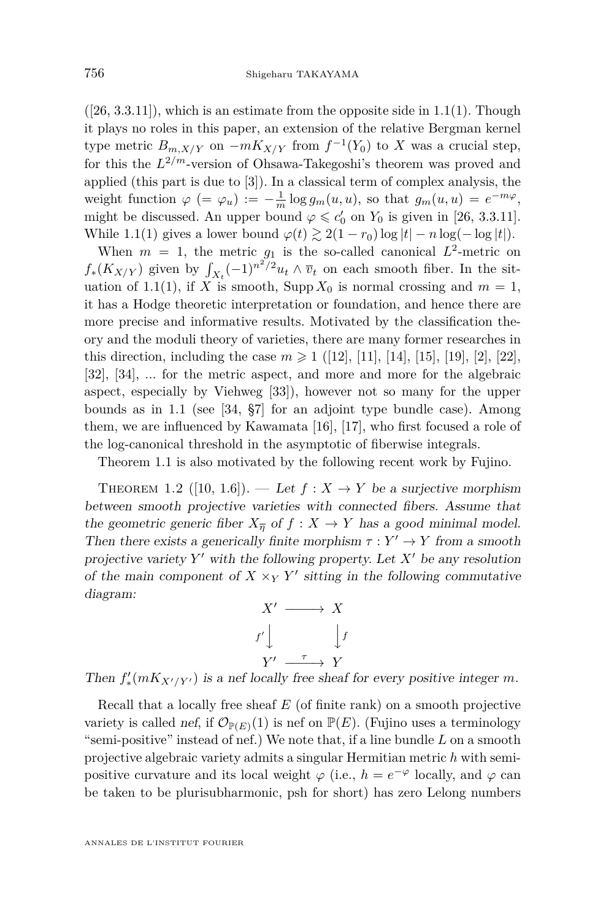$([26, 3.3.11])$  $([26, 3.3.11])$  $([26, 3.3.11])$ , which is an estimate from the opposite side in [1.1\(](#page-2-0)1). Though it plays no roles in this paper, an extension of the relative Bergman kernel type metric  $B_{m,X/Y}$  on  $-mK_{X/Y}$  from  $f^{-1}(Y_0)$  to X was a crucial step, for this the *L* <sup>2</sup>*/m*-version of Ohsawa-Takegoshi's theorem was proved and applied (this part is due to [\[3\]](#page-29-1)). In a classical term of complex analysis, the weight function  $\varphi$  (=  $\varphi_u$ ) :=  $-\frac{1}{m} \log g_m(u, u)$ , so that  $g_m(u, u) = e^{-m\varphi}$ , might be discussed. An upper bound  $\varphi \leq c'_0$  on  $Y_0$  is given in [\[26,](#page-30-0) 3.3.11]. While [1.1\(](#page-2-0)1) gives a lower bound  $\varphi(t) \gtrsim 2(1 - r_0) \log|t| - n \log(-\log|t|)$ .

When  $m = 1$ , the metric  $g_1$  is the so-called canonical  $L^2$ -metric on  $f_*(K_{X/Y})$  given by  $\int_{X_t} (-1)^{n^2/2} u_t \wedge \overline{v}_t$  on each smooth fiber. In the sit-uation of [1.1\(](#page-2-0)1), if *X* is smooth, Supp  $X_0$  is normal crossing and  $m = 1$ , it has a Hodge theoretic interpretation or foundation, and hence there are more precise and informative results. Motivated by the classification theory and the moduli theory of varieties, there are many former researches in this direction, including the case  $m \geq 1$  ([\[12\]](#page-30-4), [\[11\]](#page-30-5), [\[14\]](#page-30-6), [\[15\]](#page-30-7), [\[19\]](#page-30-8), [\[2\]](#page-29-2), [\[22\]](#page-30-9), [\[32\]](#page-31-2), [\[34\]](#page-31-3), ... for the metric aspect, and more and more for the algebraic aspect, especially by Viehweg [\[33\]](#page-31-4)), however not so many for the upper bounds as in [1.1](#page-2-0) (see [\[34,](#page-31-3) §7] for an adjoint type bundle case). Among them, we are influenced by Kawamata [\[16\]](#page-30-10), [\[17\]](#page-30-11), who first focused a role of the log-canonical threshold in the asymptotic of fiberwise integrals.

Theorem [1.1](#page-2-0) is also motivated by the following recent work by Fujino.

<span id="page-4-0"></span>THEOREM 1.2 ([\[10,](#page-30-12) 1.6]). — Let  $f: X \to Y$  be a surjective morphism between smooth projective varieties with connected fibers. Assume that the geometric generic fiber  $X_{\overline{n}}$  of  $f : X \to Y$  has a good minimal model. Then there exists a generically finite morphism  $\tau : Y' \to Y$  from a smooth projective variety  $Y'$  with the following property. Let  $X'$  be any resolution of the main component of  $X \times_Y Y'$  sitting in the following commutative diagram:



Then  $f'_*(mK_{X'/Y'})$  is a nef locally free sheaf for every positive integer m.

Recall that a locally free sheaf *E* (of finite rank) on a smooth projective variety is called nef, if  $\mathcal{O}_{\mathbb{P}(E)}(1)$  is nef on  $\mathbb{P}(E)$ . (Fujino uses a terminology "semi-positive" instead of nef.) We note that, if a line bundle *L* on a smooth projective algebraic variety admits a singular Hermitian metric *h* with semipositive curvature and its local weight  $\varphi$  (i.e.,  $h = e^{-\varphi}$  locally, and  $\varphi$  can be taken to be plurisubharmonic, psh for short) has zero Lelong numbers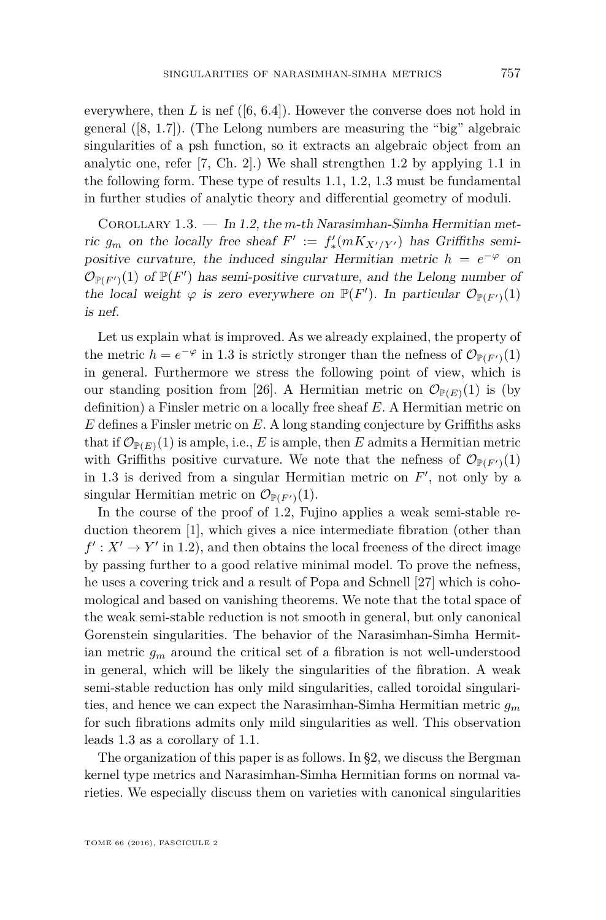everywhere, then *L* is nef ([\[6,](#page-30-13) 6.4]). However the converse does not hold in general ([\[8,](#page-30-14) 1.7]). (The Lelong numbers are measuring the "big" algebraic singularities of a psh function, so it extracts an algebraic object from an analytic one, refer [\[7,](#page-30-15) Ch. 2].) We shall strengthen [1.2](#page-4-0) by applying [1.1](#page-2-0) in the following form. These type of results [1.1,](#page-2-0) [1.2,](#page-4-0) [1.3](#page-5-0) must be fundamental in further studies of analytic theory and differential geometry of moduli.

<span id="page-5-0"></span>Corollary 1.3. — In [1.2,](#page-4-0) the *m*-th Narasimhan-Simha Hermitian metric  $g_m$  on the locally free sheaf  $F' := f'_{*}(mK_{X'/Y'})$  has Griffiths semipositive curvature, the induced singular Hermitian metric  $h = e^{-\varphi}$  on  $\mathcal{O}_{\mathbb{P}(F')}(1)$  of  $\mathbb{P}(F')$  has semi-positive curvature, and the Lelong number of the local weight  $\varphi$  is zero everywhere on  $\mathbb{P}(F')$ . In particular  $\mathcal{O}_{\mathbb{P}(F')}(1)$ is nef.

Let us explain what is improved. As we already explained, the property of the metric  $h = e^{-\varphi}$  in [1.3](#page-5-0) is strictly stronger than the nefness of  $\mathcal{O}_{\mathbb{P}(F')}(1)$ in general. Furthermore we stress the following point of view, which is our standing position from [\[26\]](#page-30-0). A Hermitian metric on  $\mathcal{O}_{\mathbb{P}(E)}(1)$  is (by definition) a Finsler metric on a locally free sheaf *E*. A Hermitian metric on *E* defines a Finsler metric on *E*. A long standing conjecture by Griffiths asks that if  $\mathcal{O}_{\mathbb{P}(E)}(1)$  is ample, i.e., *E* is ample, then *E* admits a Hermitian metric with Griffiths positive curvature. We note that the nefness of  $\mathcal{O}_{\mathbb{P}(F')}(1)$ in [1.3](#page-5-0) is derived from a singular Hermitian metric on  $F'$ , not only by a singular Hermitian metric on  $\mathcal{O}_{\mathbb{P}(F')}(1)$ .

In the course of the proof of [1.2,](#page-4-0) Fujino applies a weak semi-stable reduction theorem [\[1\]](#page-29-0), which gives a nice intermediate fibration (other than  $f' : X' \to Y'$  in [1.2\)](#page-4-0), and then obtains the local freeness of the direct image by passing further to a good relative minimal model. To prove the nefness, he uses a covering trick and a result of Popa and Schnell [\[27\]](#page-31-5) which is cohomological and based on vanishing theorems. We note that the total space of the weak semi-stable reduction is not smooth in general, but only canonical Gorenstein singularities. The behavior of the Narasimhan-Simha Hermitian metric *g<sup>m</sup>* around the critical set of a fibration is not well-understood in general, which will be likely the singularities of the fibration. A weak semi-stable reduction has only mild singularities, called toroidal singularities, and hence we can expect the Narasimhan-Simha Hermitian metric *g<sup>m</sup>* for such fibrations admits only mild singularities as well. This observation leads [1.3](#page-5-0) as a corollary of [1.1.](#page-2-0)

The organization of this paper is as follows. In [§2,](#page-6-0) we discuss the Bergman kernel type metrics and Narasimhan-Simha Hermitian forms on normal varieties. We especially discuss them on varieties with canonical singularities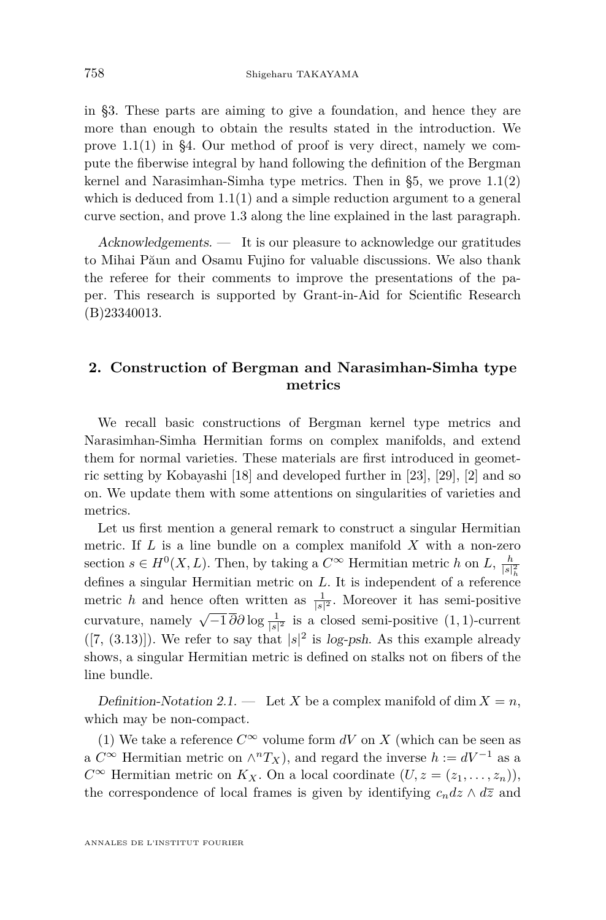in [§3.](#page-13-0) These parts are aiming to give a foundation, and hence they are more than enough to obtain the results stated in the introduction. We prove [1.1\(](#page-2-0)1) in [§4.](#page-19-1) Our method of proof is very direct, namely we compute the fiberwise integral by hand following the definition of the Bergman kernel and Narasimhan-Simha type metrics. Then in [§5,](#page-25-0) we prove [1.1\(](#page-2-0)2) which is deduced from  $1.1(1)$  $1.1(1)$  and a simple reduction argument to a general curve section, and prove [1.3](#page-5-0) along the line explained in the last paragraph.

Acknowledgements. — It is our pleasure to acknowledge our gratitudes to Mihai Păun and Osamu Fujino for valuable discussions. We also thank the referee for their comments to improve the presentations of the paper. This research is supported by Grant-in-Aid for Scientific Research (B)23340013.

#### <span id="page-6-0"></span>**2. Construction of Bergman and Narasimhan-Simha type metrics**

We recall basic constructions of Bergman kernel type metrics and Narasimhan-Simha Hermitian forms on complex manifolds, and extend them for normal varieties. These materials are first introduced in geometric setting by Kobayashi [\[18\]](#page-30-16) and developed further in [\[23\]](#page-30-3), [\[29\]](#page-31-6), [\[2\]](#page-29-2) and so on. We update them with some attentions on singularities of varieties and metrics.

Let us first mention a general remark to construct a singular Hermitian metric. If *L* is a line bundle on a complex manifold *X* with a non-zero section  $s \in H^0(X, L)$ . Then, by taking a  $C^{\infty}$  Hermitian metric *h* on *L*,  $\frac{h}{|s|_h^2}$ defines a singular Hermitian metric on *L*. It is independent of a reference metric h and hence often written as  $\frac{1}{|s|^2}$ . Moreover it has semi-positive curvature, namely  $\sqrt{-1} \overline{\partial} \partial \log \frac{1}{|s|^2}$  is a closed semi-positive (1*,* 1)-current  $([7, (3.13)])$  $([7, (3.13)])$  $([7, (3.13)])$ . We refer to say that  $|s|^2$  is log-psh. As this example already shows, a singular Hermitian metric is defined on stalks not on fibers of the line bundle.

<span id="page-6-1"></span>Definition-Notation 2.1. — Let *X* be a complex manifold of dim  $X = n$ , which may be non-compact.

(1) We take a reference  $C^{\infty}$  volume form dV on X (which can be seen as a  $C^{\infty}$  Hermitian metric on  $\wedge^{n}T_{X}$ , and regard the inverse  $h := dV^{-1}$  as a *C*<sup>∞</sup> Hermitian metric on *K<sub>X</sub>*. On a local coordinate  $(U, z = (z_1, \ldots, z_n))$ , the correspondence of local frames is given by identifying  $c_n dz \wedge d\overline{z}$  and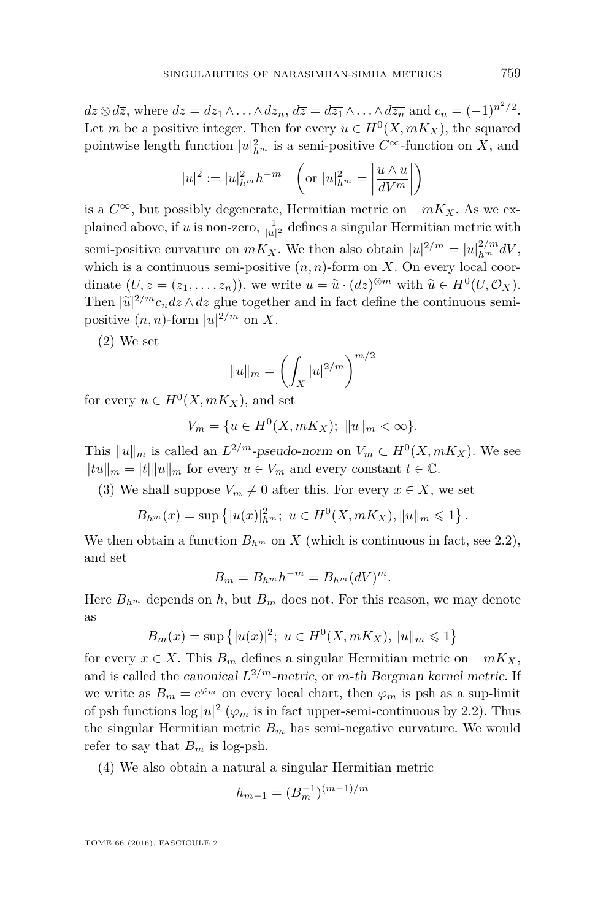$dz \otimes d\overline{z}$ , where  $dz = dz_1 \wedge \ldots \wedge dz_n$ ,  $d\overline{z} = d\overline{z_1} \wedge \ldots \wedge d\overline{z_n}$  and  $c_n = (-1)^{n^2/2}$ . Let *m* be a positive integer. Then for every  $u \in H^0(X, mK_X)$ , the squared pointwise length function  $|u|^2_{h^m}$  is a semi-positive  $C^{\infty}$ -function on *X*, and

$$
|u|^2 := |u|^2_{h^m} h^{-m} \quad \left(\text{or } |u|^2_{h^m} = \left|\frac{u \wedge \overline{u}}{dV^m}\right|\right)
$$

is a *C*∞, but possibly degenerate, Hermitian metric on −*mKX*. As we explained above, if *u* is non-zero,  $\frac{1}{|u|^2}$  defines a singular Hermitian metric with semi-positive curvature on  $mK_X$ . We then also obtain  $|u|^{2/m} = |u|_{h^m}^{2/m} dV$ , which is a continuous semi-positive  $(n, n)$ -form on *X*. On every local coordinate  $(U, z = (z_1, \ldots, z_n))$ , we write  $u = \tilde{u} \cdot (dz)^{\otimes m}$  with  $\tilde{u} \in H^0(U, \mathcal{O}_X)$ .<br>Then  $|\tilde{u}|^2/m_e$ ,  $dz \wedge d\overline{z}$  glue together and in fact define the continuous semi-Then  $|\tilde{u}|^{2/m}c_n dz \wedge d\overline{z}$  glue together and in fact define the continuous semi-<br>positive  $(n, n)$  form  $|u|^2/m$  or Y positive  $(n, n)$ -form  $|u|^{2/m}$  on X.

(2) We set

$$
||u||_m = \left(\int_X |u|^{2/m}\right)^{m/2}
$$

for every  $u \in H^0(X, mK_X)$ , and set

$$
V_m = \{ u \in H^0(X, mK_X); \ \|u\|_m < \infty \}.
$$

This  $||u||_m$  is called an  $L^{2/m}$ -pseudo-norm on  $V_m \subset H^0(X, mK_X)$ . We see  $||tu||_m = |t|||u||_m$  for every  $u \in V_m$  and every constant  $t \in \mathbb{C}$ .

(3) We shall suppose  $V_m \neq 0$  after this. For every  $x \in X$ , we set

$$
B_{h^m}(x) = \sup \left\{ |u(x)|_{h^m}^2; \ u \in H^0(X, mK_X), ||u||_m \leq 1 \right\}.
$$

We then obtain a function  $B_{h^m}$  on X (which is continuous in fact, see [2.2\)](#page-8-0), and set

$$
B_m = B_{h^m} h^{-m} = B_{h^m} (dV)^m.
$$

Here  $B_{h^m}$  depends on  $h$ , but  $B_m$  does not. For this reason, we may denote as

$$
B_m(x) = \sup \{|u(x)|^2; \ u \in H^0(X, mK_X), ||u||_m \leq 1\}
$$

for every  $x \in X$ . This  $B_m$  defines a singular Hermitian metric on  $-mK_X$ , and is called the canonical *L* <sup>2</sup>*/m*-metric, or *m*-th Bergman kernel metric. If we write as  $B_m = e^{\varphi_m}$  on every local chart, then  $\varphi_m$  is psh as a sup-limit of psh functions  $\log |u|^2$  ( $\varphi_m$  is in fact upper-semi-continuous by [2.2\)](#page-8-0). Thus the singular Hermitian metric  $B_m$  has semi-negative curvature. We would refer to say that  $B_m$  is log-psh.

(4) We also obtain a natural a singular Hermitian metric

$$
h_{m-1} = (B_m^{-1})^{(m-1)/m}
$$

TOME 66 (2016), FASCICULE 2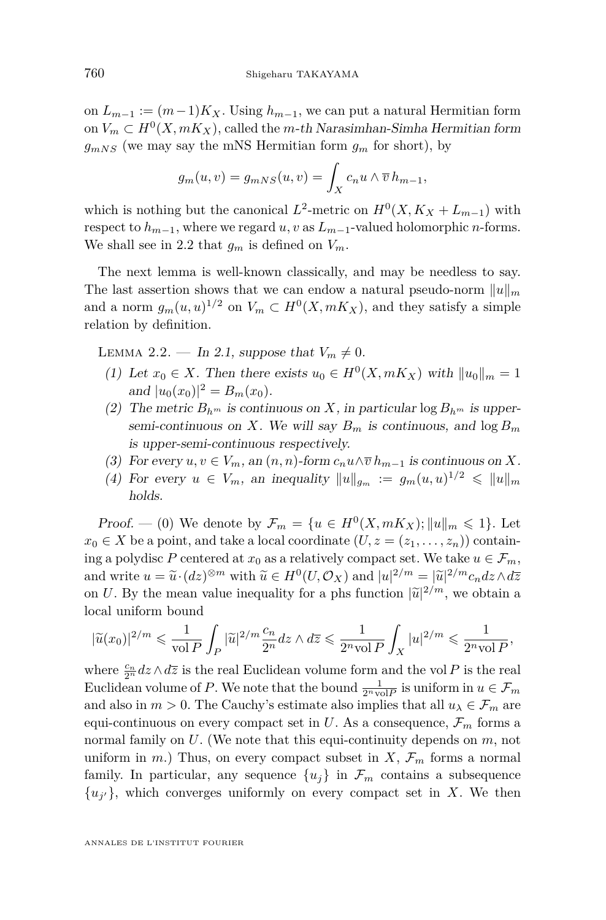on  $L_{m-1} := (m-1)K_X$ . Using  $h_{m-1}$ , we can put a natural Hermitian form on  $V_m \subset H^0(X, mK_X)$ , called the *m*-th Narasimhan-Simha Hermitian form  $g_{mNS}$  (we may say the mNS Hermitian form  $g_m$  for short), by

$$
g_m(u, v) = g_{mNS}(u, v) = \int_X c_n u \wedge \overline{v} \, h_{m-1},
$$

which is nothing but the canonical  $L^2$ -metric on  $H^0(X, K_X + L_{m-1})$  with respect to  $h_{m-1}$ , where we regard  $u, v$  as  $L_{m-1}$ -valued holomorphic *n*-forms. We shall see in [2.2](#page-8-0) that  $g_m$  is defined on  $V_m$ .

The next lemma is well-known classically, and may be needless to say. The last assertion shows that we can endow a natural pseudo-norm  $||u||_m$ and a norm  $g_m(u, u)^{1/2}$  on  $V_m \subset H^0(X, mK_X)$ , and they satisfy a simple relation by definition.

<span id="page-8-0"></span>LEMMA 2.2. — In [2.1,](#page-6-1) suppose that  $V_m \neq 0$ .

- (1) Let  $x_0 \in X$ . Then there exists  $u_0 \in H^0(X, mK_X)$  with  $||u_0||_m = 1$ and  $|u_0(x_0)|^2 = B_m(x_0)$ .
- (2) The metric  $B_{h^m}$  is continuous on *X*, in particular log  $B_{h^m}$  is uppersemi-continuous on *X*. We will say  $B_m$  is continuous, and  $\log B_m$ is upper-semi-continuous respectively.
- (3) For every  $u, v \in V_m$ , an  $(n, n)$ -form  $c_n u \wedge \overline{v} h_{m-1}$  is continuous on X.
- (4) For every  $u \in V_m$ , an inequality  $||u||_{g_m} := g_m(u, u)^{1/2} \le ||u||_m$ holds.

Proof. — (0) We denote by  $\mathcal{F}_m = \{u \in H^0(X, mK_X) ; ||u||_m \leq 1\}$ . Let  $x_0 \in X$  be a point, and take a local coordinate  $(U, z = (z_1, \ldots, z_n))$  containing a polydisc *P* centered at  $x_0$  as a relatively compact set. We take  $u \in \mathcal{F}_m$ , and write  $u = \tilde{u} \cdot (dz)^{\otimes m}$  with  $\tilde{u} \in H^0(U, \mathcal{O}_X)$  and  $|u|^{2/m} = |\tilde{u}|^{2/m} c_n dz \wedge d\overline{z}$ <br>can *U*, By the mean value inequality for a photomation  $|\tilde{u}|^{2/m}$ , we obtain a on *U*. By the mean value inequality for a phs function  $|\tilde{u}|^{2/m}$ , we obtain a local uniform bound

$$
|\widetilde{u}(x_0)|^{2/m}\leqslant \frac{1}{\text{vol\,} P}\int_P |\widetilde{u}|^{2/m}\frac{c_n}{2^n}dz\wedge d\overline{z}\leqslant \frac{1}{2^n\text{vol\,} P}\int_X |u|^{2/m}\leqslant \frac{1}{2^n\text{vol\,} P},
$$

where  $\frac{c_n}{2^n}$  *dz*  $\wedge$  *dz* is the real Euclidean volume form and the vol *P* is the real Euclidean volume of P. We note that the bound  $\frac{1}{2^n \text{vol}P}$  is uniform in  $u \in \mathcal{F}_m$ and also in  $m > 0$ . The Cauchy's estimate also implies that all  $u_{\lambda} \in \mathcal{F}_m$  are equi-continuous on every compact set in U. As a consequence,  $\mathcal{F}_m$  forms a normal family on *U*. (We note that this equi-continuity depends on *m*, not uniform in  $m$ .) Thus, on every compact subset in  $X, \mathcal{F}_m$  forms a normal family. In particular, any sequence  $\{u_i\}$  in  $\mathcal{F}_m$  contains a subsequence  $\{u_{j'}\}$ , which converges uniformly on every compact set in *X*. We then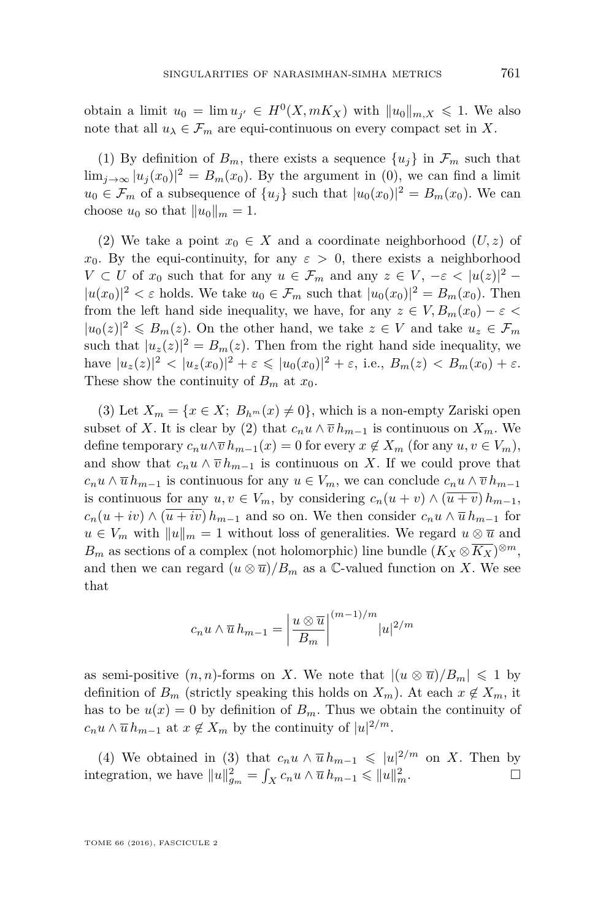obtain a limit  $u_0 = \lim u_{j'} \in H^0(X, mK_X)$  with  $||u_0||_{m,X} \leq 1$ . We also note that all  $u_{\lambda} \in \mathcal{F}_m$  are equi-continuous on every compact set in X.

(1) By definition of  $B_m$ , there exists a sequence  $\{u_j\}$  in  $\mathcal{F}_m$  such that  $\lim_{j\to\infty} |u_j(x_0)|^2 = B_m(x_0)$ . By the argument in (0), we can find a limit  $u_0 \in \mathcal{F}_m$  of a subsequence of  $\{u_j\}$  such that  $|u_0(x_0)|^2 = B_m(x_0)$ . We can choose  $u_0$  so that  $||u_0||_m = 1$ .

(2) We take a point  $x_0 \in X$  and a coordinate neighborhood  $(U, z)$  of *x*<sub>0</sub>. By the equi-continuity, for any  $\varepsilon > 0$ , there exists a neighborhood *V* ⊂ *U* of  $x_0$  such that for any  $u \in \mathcal{F}_m$  and any  $z \in V$ ,  $-\varepsilon < |u(z)|^2$  −  $|u(x_0)|^2 < \varepsilon$  holds. We take  $u_0 \in \mathcal{F}_m$  such that  $|u_0(x_0)|^2 = B_m(x_0)$ . Then from the left hand side inequality, we have, for any  $z \in V, B_m(x_0) - \varepsilon$  $|u_0(z)|^2 \le B_m(z)$ . On the other hand, we take  $z \in V$  and take  $u_z \in \mathcal{F}_m$ such that  $|u_z(z)|^2 = B_m(z)$ . Then from the right hand side inequality, we  $|\text{have } |u_z(z)|^2 < |u_z(x_0)|^2 + \varepsilon \leq |u_0(x_0)|^2 + \varepsilon$ , i.e.,  $B_m(z) < B_m(x_0) + \varepsilon$ . These show the continuity of  $B_m$  at  $x_0$ .

(3) Let  $X_m = \{x \in X; B_{h^m}(x) \neq 0\}$ , which is a non-empty Zariski open subset of *X*. It is clear by (2) that  $c_n u \wedge \overline{v} h_{m-1}$  is continuous on  $X_m$ . We define temporary  $c_n u \wedge \overline{v} h_{m-1}(x) = 0$  for every  $x \notin X_m$  (for any  $u, v \in V_m$ ), and show that  $c_n u \wedge \overline{v} h_{m-1}$  is continuous on X. If we could prove that  $c_n u \wedge \overline{u} h_{m-1}$  is continuous for any  $u \in V_m$ , we can conclude  $c_n u \wedge \overline{v} h_{m-1}$ is continuous for any  $u, v \in V_m$ , by considering  $c_n(u + v) \wedge (\overline{u + v}) h_{m-1}$ ,  $c_n(u + iv) \wedge (\overline{u + iv}) h_{m-1}$  and so on. We then consider  $c_n u \wedge \overline{u} h_{m-1}$  for  $u \in V_m$  with  $||u||_m = 1$  without loss of generalities. We regard  $u \otimes \overline{u}$  and *B*<sup>*m*</sup> as sections of a complex (not holomorphic) line bundle  $(K_X \otimes \overline{K_X})^{\otimes m}$ , and then we can regard  $(u \otimes \overline{u})/B_m$  as a  $\mathbb{C}\text{-valued function on } X$ . We see that

$$
c_n u \wedge \overline{u} h_{m-1} = \left| \frac{u \otimes \overline{u}}{B_m} \right|^{(m-1)/m} |u|^{2/m}
$$

as semi-positive  $(n, n)$ -forms on *X*. We note that  $|(u \otimes \overline{u})/B_m| \leq 1$  by definition of  $B_m$  (strictly speaking this holds on  $X_m$ ). At each  $x \notin X_m$ , it has to be  $u(x) = 0$  by definition of  $B_m$ . Thus we obtain the continuity of  $c_n u \wedge \overline{u} h_{m-1}$  at  $x \notin X_m$  by the continuity of  $|u|^{2/m}$ .

(4) We obtained in (3) that  $c_n u \wedge \overline{u} h_{m-1} \leqslant |u|^{2/m}$  on *X*. Then by integration, we have  $||u||_{g_m}^2 = \int_X c_n u \wedge \overline{u} h_{m-1} \leq ||u||_m^2$ .

TOME 66 (2016), FASCICULE 2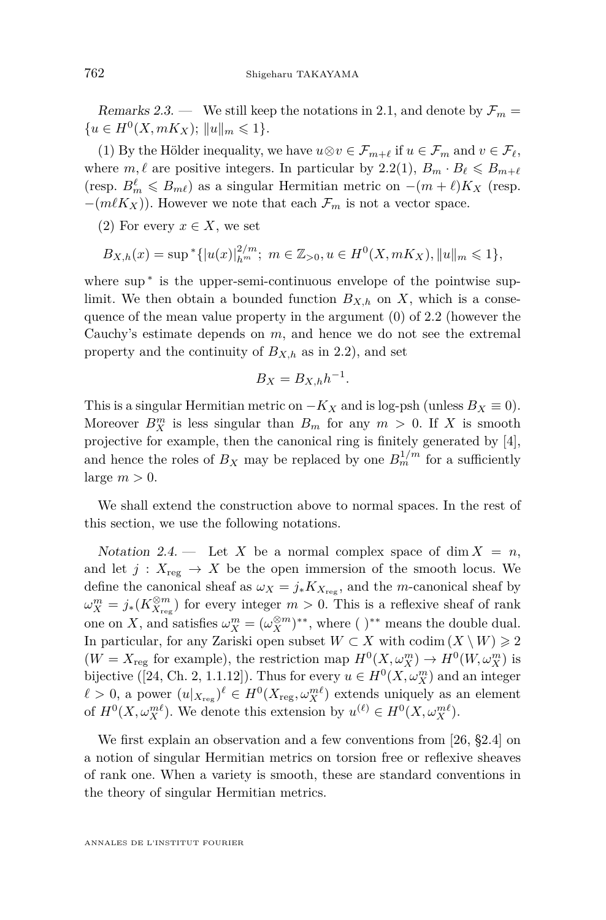<span id="page-10-0"></span>Remarks 2.3. — We still keep the notations in [2.1,](#page-6-1) and denote by  $\mathcal{F}_m$  =  ${u \in H^0(X, mK_X); ||u||_m \leq 1}.$ 

(1) By the Hölder inequality, we have  $u \otimes v \in \mathcal{F}_{m+\ell}$  if  $u \in \mathcal{F}_m$  and  $v \in \mathcal{F}_\ell$ , where  $m, \ell$  are positive integers. In particular by [2.2\(](#page-8-0)1),  $B_m \cdot B_\ell \leq B_{m+\ell}$ (resp.  $B_m^{\ell} \leq B_{m\ell}$ ) as a singular Hermitian metric on  $-(m+\ell)K_X$  (resp.  $-(m\ell K_X)$ ). However we note that each  $\mathcal{F}_m$  is not a vector space.

(2) For every  $x \in X$ , we set

$$
B_{X,h}(x) = \sup^* \{ |u(x)|_{h^m}^{2/m}; \ m \in \mathbb{Z}_{>0}, u \in H^0(X, mK_X), ||u||_m \leq 1 \},\
$$

where sup<sup>\*</sup> is the upper-semi-continuous envelope of the pointwise suplimit. We then obtain a bounded function  $B_{X,h}$  on X, which is a consequence of the mean value property in the argument (0) of [2.2](#page-8-0) (however the Cauchy's estimate depends on *m*, and hence we do not see the extremal property and the continuity of  $B_{X,h}$  as in [2.2\)](#page-8-0), and set

$$
B_X = B_{X,h} h^{-1}.
$$

This is a singular Hermitian metric on  $-K_X$  and is log-psh (unless  $B_X \equiv 0$ ). Moreover  $B_X^m$  is less singular than  $B_m$  for any  $m > 0$ . If X is smooth projective for example, then the canonical ring is finitely generated by [\[4\]](#page-29-3), and hence the roles of  $B_X$  may be replaced by one  $B_m^{1/m}$  for a sufficiently large  $m > 0$ .

We shall extend the construction above to normal spaces. In the rest of this section, we use the following notations.

<span id="page-10-1"></span>Notation 2.4. — Let X be a normal complex space of dim  $X = n$ , and let  $j: X_{reg} \to X$  be the open immersion of the smooth locus. We define the canonical sheaf as  $\omega_X = j_* K_{X_{\text{reg}}}$ , and the *m*-canonical sheaf by  $\omega_X^m = j_*(K_{X_{\text{reg}}}^{\otimes m})$  for every integer  $m > 0$ . This is a reflexive sheaf of rank one on *X*, and satisfies  $\omega_X^m = (\omega_X^{\otimes m})^{**}$ , where ( )<sup>\*\*</sup> means the double dual. In particular, for any Zariski open subset  $W \subset X$  with codim  $(X \setminus W) \geq 2$  $(W = X_{\text{reg}} \text{ for example}), \text{ the restriction map } H^0(X, \omega_X^m) \to H^0(W, \omega_X^m) \text{ is }$ bijective ([\[24,](#page-30-17) Ch. 2, 1.1.12]). Thus for every  $u \in H^0(X, \omega_X^m)$  and an integer  $\ell > 0$ , a power  $(u|_{X_{\text{reg}}})^{\ell} \in H^0(X_{\text{reg}}, \omega_X^{m\ell})$  extends uniquely as an element of  $H^0(X, \omega_X^{m\ell})$ . We denote this extension by  $u^{(\ell)} \in H^0(X, \omega_X^{m\ell})$ .

We first explain an observation and a few conventions from [\[26,](#page-30-0) §2.4] on a notion of singular Hermitian metrics on torsion free or reflexive sheaves of rank one. When a variety is smooth, these are standard conventions in the theory of singular Hermitian metrics.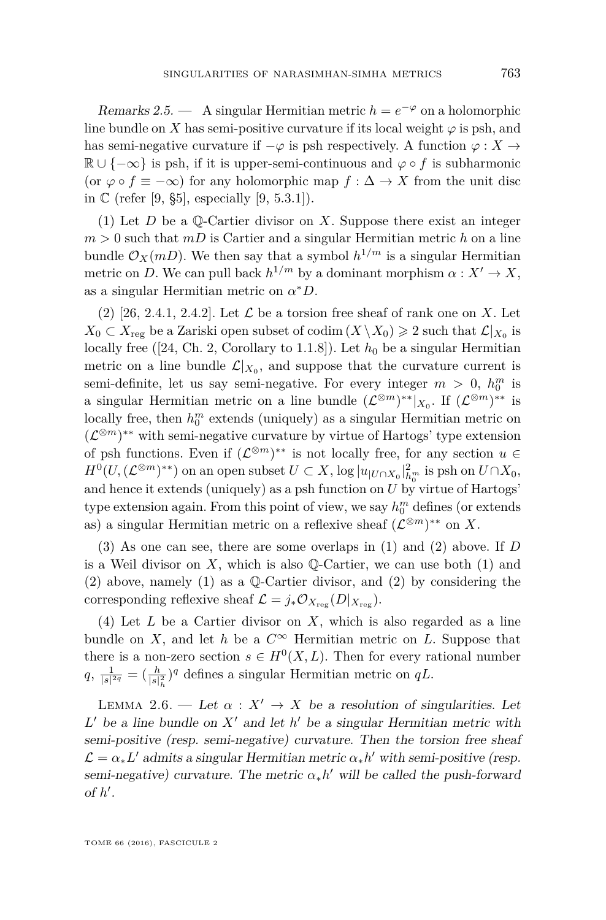<span id="page-11-0"></span>Remarks 2.5. — A singular Hermitian metric  $h = e^{-\varphi}$  on a holomorphic line bundle on *X* has semi-positive curvature if its local weight  $\varphi$  is psh, and has semi-negative curvature if  $-\varphi$  is psh respectively. A function  $\varphi : X \to Y$  $\mathbb{R} \cup \{-\infty\}$  is psh, if it is upper-semi-continuous and  $\varphi \circ f$  is subharmonic (or  $\varphi \circ f \equiv -\infty$ ) for any holomorphic map  $f : \Delta \to X$  from the unit disc in  $\mathbb{C}$  (refer [\[9,](#page-30-18) §5], especially [9, 5.3.1]).

(1) Let *D* be a Q-Cartier divisor on *X*. Suppose there exist an integer  $m > 0$  such that  $mD$  is Cartier and a singular Hermitian metric h on a line bundle  $\mathcal{O}_X(mD)$ . We then say that a symbol  $h^{1/m}$  is a singular Hermitian metric on *D*. We can pull back  $h^{1/m}$  by a dominant morphism  $\alpha : X' \to X$ , as a singular Hermitian metric on *α* <sup>∗</sup>*D*.

 $(2)$  [\[26,](#page-30-0) 2.4.1, 2.4.2]. Let  $\mathcal L$  be a torsion free sheaf of rank one on *X*. Let  $X_0 \subset X_{\text{reg}}$  be a Zariski open subset of codim  $(X \setminus X_0) \geq 2$  such that  $\mathcal{L}|_{X_0}$  is locally free ([\[24,](#page-30-17) Ch. 2, Corollary to 1.1.8]). Let  $h_0$  be a singular Hermitian metric on a line bundle  $\mathcal{L}|_{X_0}$ , and suppose that the curvature current is semi-definite, let us say semi-negative. For every integer  $m > 0$ ,  $h_0^m$  is a singular Hermitian metric on a line bundle  $(\mathcal{L}^{\otimes m})^{**}|_{X_0}$ . If  $(\mathcal{L}^{\otimes m})^{**}$  is locally free, then  $h_0^m$  extends (uniquely) as a singular Hermitian metric on  $(\mathcal{L}^{\otimes m})^{**}$  with semi-negative curvature by virtue of Hartogs' type extension of psh functions. Even if  $(\mathcal{L}^{\otimes m})^{**}$  is not locally free, for any section  $u \in$  $H^0(U, (L^{\otimes m})^{**})$  on an open subset  $U \subset X$ , log  $|u|_{U \cap X_0}|_{h^m}^2$  is psh on  $U \cap X_0$ , and hence it extends (uniquely) as a psh function on  $U$  by virtue of Hartogs' type extension again. From this point of view, we say  $h_0^m$  defines (or extends as) a singular Hermitian metric on a reflexive sheaf  $(\mathcal{L}^{\otimes m})^{**}$  on X.

(3) As one can see, there are some overlaps in (1) and (2) above. If *D* is a Weil divisor on  $X$ , which is also  $\mathbb{Q}$ -Cartier, we can use both (1) and (2) above, namely (1) as a Q-Cartier divisor, and (2) by considering the corresponding reflexive sheaf  $\mathcal{L} = j_* \mathcal{O}_{X_{\text{reg}}}(D|_{X_{\text{reg}}}).$ 

(4) Let *L* be a Cartier divisor on *X*, which is also regarded as a line bundle on *X*, and let *h* be a  $C^{\infty}$  Hermitian metric on *L*. Suppose that there is a non-zero section  $s \in H^0(X, L)$ . Then for every rational number  $q, \frac{1}{|s|^{2q}} = (\frac{h}{|s|_h^2})^q$  defines a singular Hermitian metric on  $qL$ .

<span id="page-11-1"></span>LEMMA 2.6. — Let  $\alpha : X' \to X$  be a resolution of singularities. Let  $L'$  be a line bundle on  $X'$  and let  $h'$  be a singular Hermitian metric with semi-positive (resp. semi-negative) curvature. Then the torsion free sheaf  $\mathcal{L} = \alpha_* L'$  admits a singular Hermitian metric  $\alpha_* h'$  with semi-positive (resp. semi-negative) curvature. The metric  $\alpha_* h'$  will be called the push-forward of  $h'$ .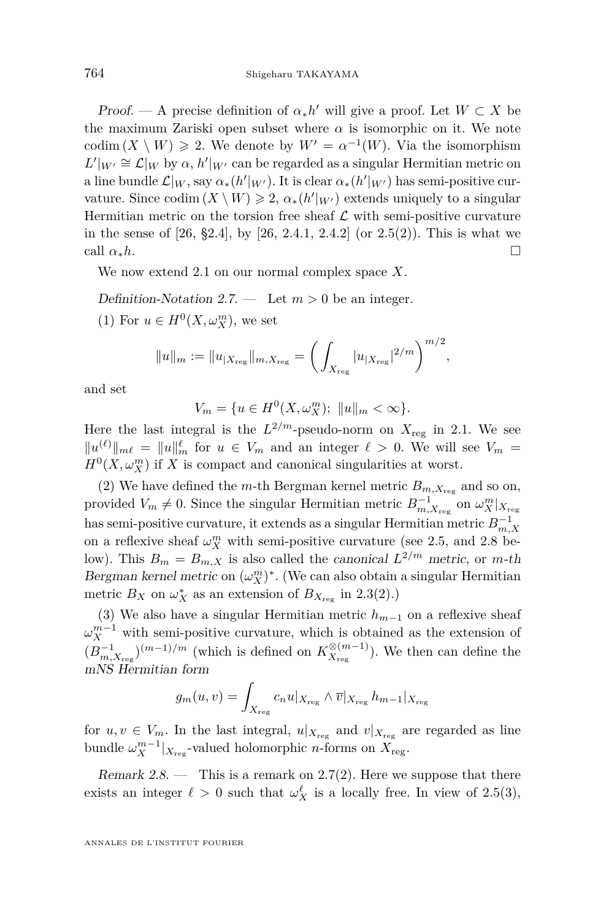Proof. — A precise definition of  $\alpha_* h'$  will give a proof. Let  $W \subset X$  be the maximum Zariski open subset where  $\alpha$  is isomorphic on it. We note codim  $(X \setminus W) \ge 2$ . We denote by  $W' = \alpha^{-1}(W)$ . Via the isomorphism  $L'|_{W'} \cong \mathcal{L}|_W$  by  $\alpha$ ,  $h'|_{W'}$  can be regarded as a singular Hermitian metric on a line bundle  $\mathcal{L}|_W$ , say  $\alpha_*(h'|_{W'})$ . It is clear  $\alpha_*(h'|_{W'})$  has semi-positive curvature. Since  $\text{codim}(X \setminus W) \geqslant 2$ ,  $\alpha_*(h'|_{W'})$  extends uniquely to a singular Hermitian metric on the torsion free sheaf  $\mathcal L$  with semi-positive curvature in the sense of [\[26,](#page-30-0) §2.4], by [26, 2.4.1, 2.4.2] (or [2.5\(](#page-11-0)2)). This is what we call  $\alpha_* h$ .

We now extend [2.1](#page-6-1) on our normal complex space *X*.

<span id="page-12-1"></span>Definition-Notation 2.7. — Let  $m > 0$  be an integer.

(1) For  $u \in H^0(X, \omega_X^m)$ , we set

$$
||u||_m := ||u_{|X_{\text{reg}}}||_{m,X_{\text{reg}}} = \left(\int_{X_{\text{reg}}} |u_{|X_{\text{reg}}}|^{2/m}\right)^{m/2},
$$

and set

$$
V_m = \{ u \in H^0(X, \omega_X^m); \ \|u\|_m < \infty \}.
$$

Here the last integral is the  $L^{2/m}$ -pseudo-norm on  $X_{reg}$  in [2.1.](#page-6-1) We see  $||u^{(\ell)}||_{m\ell} = ||u||_m^{\ell}$  for  $u \in V_m$  and an integer  $\ell > 0$ . We will see  $V_m =$  $H^0(X, \omega_X^m)$  if X is compact and canonical singularities at worst.

(2) We have defined the *m*-th Bergman kernel metric  $B_{m,X_{\text{reg}}}$  and so on, provided  $V_m \neq 0$ . Since the singular Hermitian metric  $B_{m,X_{\text{reg}}}^{-1}$  on  $\omega_X^m|_{X_{\text{reg}}}$ has semi-positive curvature, it extends as a singular Hermitian metric  $B_{m,X}^{-1}$ on a reflexive sheaf  $\omega_X^m$  with semi-positive curvature (see [2.5,](#page-11-0) and [2.8](#page-12-0) below). This  $B_m = B_{m,X}$  is also called the canonical  $L^{2/m}$  metric, or m-th Bergman kernel metric on  $(\omega_X^m)^*$ . (We can also obtain a singular Hermitian metric  $B_X$  on  $\omega_X^*$  as an extension of  $B_{X_{\text{reg}}}$  in [2.3\(](#page-10-0)2).)

(3) We also have a singular Hermitian metric *hm*−<sup>1</sup> on a reflexive sheaf  $\omega_X^{m-1}$  with semi-positive curvature, which is obtained as the extension of  $(B<sub>m,X<sub>reg</sub></sub><sup>0</sup>)<sup>(m-1)/m</sup>$  (which is defined on  $K<sup>⊗</sup><sub>X<sub>reg</sub></sub>$  $(X_{\text{reg}}^{(m-1)})$ . We then can define the mNS Hermitian form

$$
g_m(u,v) = \int_{X_{\text{reg}}} c_n u |_{X_{\text{reg}}} \wedge \overline{v} |_{X_{\text{reg}}} h_{m-1} |_{X_{\text{reg}}}
$$

for  $u, v \in V_m$ . In the last integral,  $u|_{X_{reg}}$  and  $v|_{X_{reg}}$  are regarded as line bundle  $\omega_X^{m-1}|_{X_{\text{reg}}}$ -valued holomorphic *n*-forms on  $X_{\text{reg}}$ .

<span id="page-12-0"></span>Remark  $2.8.$  — This is a remark on  $2.7(2)$  $2.7(2)$ . Here we suppose that there exists an integer  $\ell > 0$  such that  $\omega_X^{\ell}$  is a locally free. In view of [2.5\(](#page-11-0)3),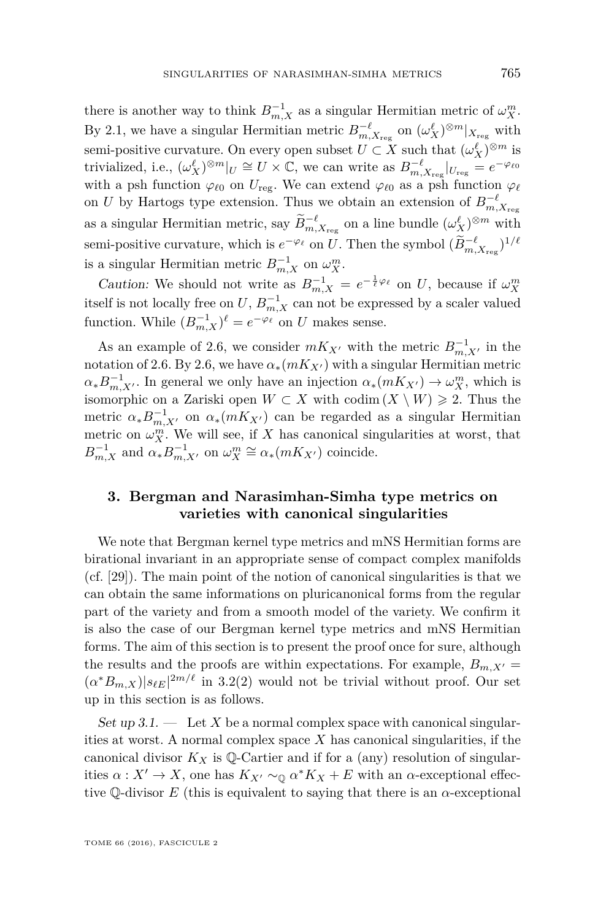there is another way to think  $B_{m,X}^{-1}$  as a singular Hermitian metric of  $\omega_X^m$ . By [2.1,](#page-6-1) we have a singular Hermitian metric  $B_{m,X_{\text{reg}}}^{-\ell}$  on  $(\omega_X^{\ell})^{\otimes m}|_{X_{\text{reg}}}$  with semi-positive curvature. On every open subset  $U \subset X$  such that  $(\omega_X^{\ell})^{\otimes m}$  is trivialized, i.e.,  $(\omega_X^{\ell})^{\otimes m}|_{U} \cong U \times \mathbb{C}$ , we can write as  $B_{m,X_{reg}}^{-\ell}|_{U_{reg}} = e^{-\varphi_{\ell 0}}$ with a psh function  $\varphi_{\ell 0}$  on  $U_{\text{reg}}$ . We can extend  $\varphi_{\ell 0}$  as a psh function  $\varphi_{\ell}$ on *U* by Hartogs type extension. Thus we obtain an extension of  $B_{m,X_{\text{reg}}}^{-\ell}$ as a singular Hermitian metric, say  $\widetilde{B}_{m,X_{\text{reg}}}^{-\ell}$  on a line bundle  $(\omega_X^{\ell})^{\otimes m}$  with semi-positive curvature, which is  $e^{-\varphi_{\ell}}$  on *U*. Then the symbol  $(\widetilde{B}_{m,X_{\text{reg}}}^{-\ell})^{1/\ell}$ is a singular Hermitian metric  $B_{m,X}^{-1}$  on  $\omega_X^m$ .

*Caution:* We should not write as  $B_{m,X}^{-1} = e^{-\frac{1}{\ell}\varphi_{\ell}}$  on *U*, because if  $\omega_X^m$ itself is not locally free on  $U, B_{m,X}^{-1}$  can not be expressed by a scaler valued function. While  $(B_{m,X}^{-1})^{\ell} = e^{-\varphi_{\ell}}$  on *U* makes sense.

As an example of [2.6,](#page-11-1) we consider  $mK_{X}$  with the metric  $B_{m,X}^{-1}$  in the notation of [2.6.](#page-11-1) By [2.6,](#page-11-1) we have  $\alpha_*(mK_{X'})$  with a singular Hermitian metric  $\alpha_* B_{m,X}^{-1}$ . In general we only have an injection  $\alpha_*(mK_{X'}) \to \omega_X^m$ , which is isomorphic on a Zariski open  $W \subset X$  with codim  $(X \setminus W) \geq 2$ . Thus the metric  $\alpha_* B^{-1}_{m,X'}$  on  $\alpha_*(mK_{X'})$  can be regarded as a singular Hermitian metric on  $\omega_X^m$ . We will see, if *X* has canonical singularities at worst, that  $B^{-1}_{m,X}$  and  $\alpha_* B^{-1}_{m,X'}$  on  $\omega_X^m \cong \alpha_*(mK_{X'})$  coincide.

#### <span id="page-13-0"></span>**3. Bergman and Narasimhan-Simha type metrics on varieties with canonical singularities**

We note that Bergman kernel type metrics and mNS Hermitian forms are birational invariant in an appropriate sense of compact complex manifolds (cf. [\[29\]](#page-31-6)). The main point of the notion of canonical singularities is that we can obtain the same informations on pluricanonical forms from the regular part of the variety and from a smooth model of the variety. We confirm it is also the case of our Bergman kernel type metrics and mNS Hermitian forms. The aim of this section is to present the proof once for sure, although the results and the proofs are within expectations. For example,  $B_{m,X'} =$  $(\alpha^* B_{m,X})|s_{\ell E}|^{2m/\ell}$  in [3.2\(](#page-14-0)2) would not be trivial without proof. Our set up in this section is as follows.

<span id="page-13-1"></span>Set up  $3.1$ .  $-$  Let X be a normal complex space with canonical singularities at worst. A normal complex space *X* has canonical singularities, if the canonical divisor  $K_X$  is Q-Cartier and if for a (any) resolution of singularities  $\alpha: X' \to X$ , one has  $K_{X'} \sim_{\mathbb{Q}} \alpha^* K_X + E$  with an  $\alpha$ -exceptional effective  $\mathbb Q$ -divisor *E* (this is equivalent to saying that there is an  $\alpha$ -exceptional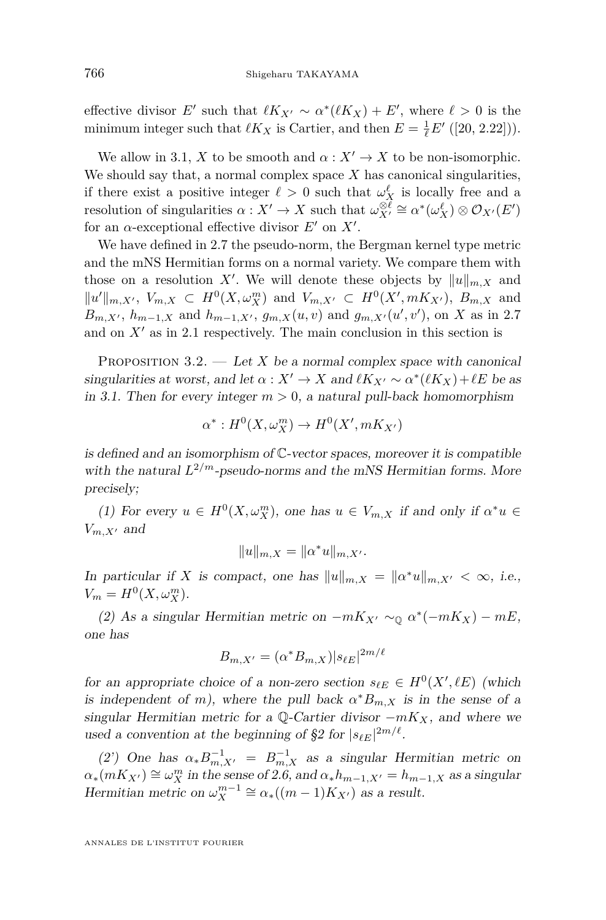effective divisor  $E'$  such that  $\ell K_{X'} \sim \alpha^* (\ell K_X) + E'$ , where  $\ell > 0$  is the minimum integer such that  $\ell K_X$  is Cartier, and then  $E = \frac{1}{\ell} E' ([20, 2.22])$  $E = \frac{1}{\ell} E' ([20, 2.22])$  $E = \frac{1}{\ell} E' ([20, 2.22])$ .

We allow in [3.1,](#page-13-1) *X* to be smooth and  $\alpha: X' \to X$  to be non-isomorphic. We should say that, a normal complex space *X* has canonical singularities, if there exist a positive integer  $\ell > 0$  such that  $\omega_X^{\ell}$  is locally free and a resolution of singularities  $\alpha: X' \to X$  such that  $\omega_{X'}^{\otimes \ell} \cong \alpha^*(\omega_X^{\ell}) \otimes \mathcal{O}_{X'}(E')$ for an  $\alpha$ -exceptional effective divisor  $E'$  on  $X'$ .

We have defined in [2.7](#page-12-1) the pseudo-norm, the Bergman kernel type metric and the mNS Hermitian forms on a normal variety. We compare them with those on a resolution X'. We will denote these objects by  $||u||_{m,X}$  and  $||u'||_{m,X'}$ ,  $V_{m,X} \subset H^0(X,\omega_X^m)$  and  $V_{m,X'} \subset H^0(X',mK_{X'})$ ,  $B_{m,X}$  and *B*<sub>*m*</sub>*x*<sup>*i*</sup>, *h*<sub>*m*</sub>-1*,x*</sub> and *h*<sub>*m*-1*,x*<sup>*i*</sup>, *g*<sub>*m*</sub>*x*(*u*,*v*) and *g*<sub>*m*</sub>*x*<sub></sub>(*u*<sup>*'*</sup>,*v*<sup>'</sup>), on *X* as in [2.7](#page-12-1)</sub> and on  $X'$  as in [2.1](#page-6-1) respectively. The main conclusion in this section is

<span id="page-14-0"></span>PROPOSITION  $3.2.$  — Let X be a normal complex space with canonical singularities at worst, and let  $\alpha: X' \to X$  and  $\ell K_{X'} \sim \alpha^*(\ell K_X) + \ell E$  be as in [3.1.](#page-13-1) Then for every integer  $m > 0$ , a natural pull-back homomorphism

$$
\alpha^*: H^0(X, \omega_X^m) \to H^0(X', mK_{X'})
$$

is defined and an isomorphism of C-vector spaces, moreover it is compatible with the natural  $L^{2/m}$ -pseudo-norms and the mNS Hermitian forms. More precisely;

(1) For every  $u \in H^0(X, \omega_X^m)$ , one has  $u \in V_{m,X}$  if and only if  $\alpha^* u \in$  $V_{m,X'}$  and

$$
||u||_{m,X} = ||\alpha^* u||_{m,X'}.
$$

In particular if *X* is compact, one has  $||u||_{m,X} = ||\alpha^* u||_{m,X'} < \infty$ , i.e.,  $V_m = H^0(X, \omega_X^m)$ .

(2) As a singular Hermitian metric on  $-mK_{X'} \sim_{\mathbb{Q}} \alpha^*(-mK_X) - mE$ , one has

$$
B_{m,X'} = (\alpha^* B_{m,X}) |s_{\ell E}|^{2m/\ell}
$$

for an appropriate choice of a non-zero section  $s_{\ell E} \in H^0(X', \ell E)$  (which is independent of *m*), where the pull back  $\alpha^* B_{m,X}$  is in the sense of a singular Hermitian metric for a  $\mathbb{Q}$ -Cartier divisor  $-mK_X$ , and where we used a convention at the beginning of [§2](#page-6-0) for  $|s_{\ell E}|^{2m/\ell}$ .

(2') One has  $\alpha_* B^{-1}_{m,X'} = B^{-1}_{m,X}$  as a singular Hermitian metric on  $\alpha_*(mK_{X'}) \cong \omega_X^m$  in the sense of [2.6,](#page-11-1) and  $\alpha_*h_{m-1,X'} = h_{m-1,X}$  as a singular Hermitian metric on  $\omega_X^{m-1} \cong \alpha_*((m-1)K_{X'})$  as a result.

ANNALES DE L'INSTITUT FOURIER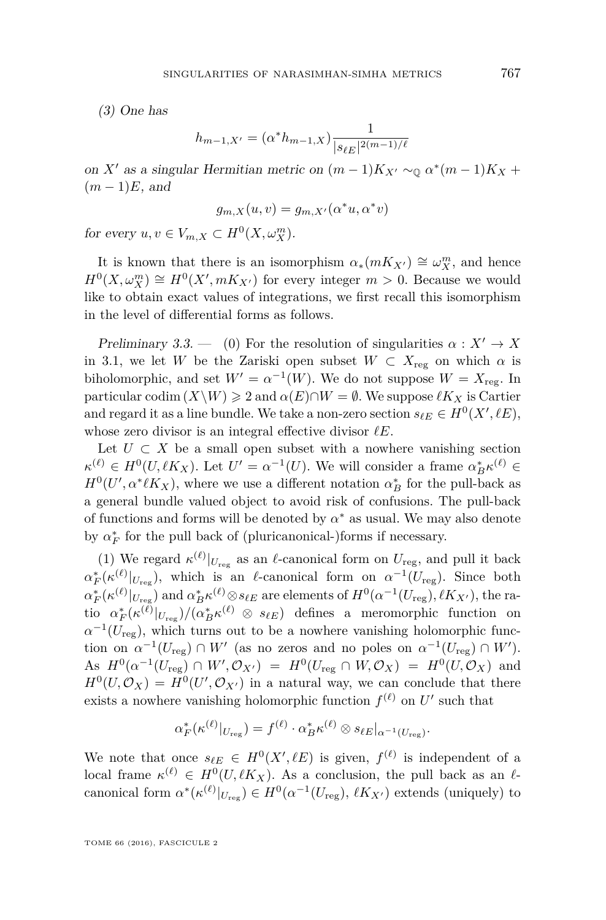(3) One has

$$
h_{m-1,X'} = (\alpha^* h_{m-1,X}) \frac{1}{|s_{\ell E}|^{2(m-1)/\ell}}
$$

on *X'* as a singular Hermitian metric on  $(m-1)K_{X'} \sim_{\mathbb{Q}} \alpha^*(m-1)K_X +$  $(m-1)E$ , and

$$
g_{m,X}(u,v) = g_{m,X'}(\alpha^*u, \alpha^*v)
$$

for every  $u, v \in V_{m,X} \subset H^0(X, \omega_X^m)$ .

It is known that there is an isomorphism  $\alpha_*(mK_{X'}) \cong \omega_X^m$ , and hence  $H^0(X, \omega_X^m) \cong H^0(X', mK_{X'})$  for every integer  $m > 0$ . Because we would like to obtain exact values of integrations, we first recall this isomorphism in the level of differential forms as follows.

<span id="page-15-0"></span>Preliminary 3.3. — (0) For the resolution of singularities  $\alpha : X' \to X$ in [3.1,](#page-13-1) we let *W* be the Zariski open subset  $W \subset X_{\text{reg}}$  on which  $\alpha$  is biholomorphic, and set  $W' = \alpha^{-1}(W)$ . We do not suppose  $W = X_{\text{reg}}$ . In particular codim  $(X \backslash W) \geq 2$  and  $\alpha(E) \cap W = \emptyset$ . We suppose  $\ell K_X$  is Cartier and regard it as a line bundle. We take a non-zero section  $s_{\ell E} \in H^0(X', \ell E)$ , whose zero divisor is an integral effective divisor  $\ell E$ .

Let  $U \subset X$  be a small open subset with a nowhere vanishing section  $\kappa^{(\ell)} \in H^0(U, \ell K_X)$ . Let  $U' = \alpha^{-1}(U)$ . We will consider a frame  $\alpha_B^* \kappa^{(\ell)} \in$  $H^0(U', \alpha^* \ell K_X)$ , where we use a different notation  $\alpha_B^*$  for the pull-back as a general bundle valued object to avoid risk of confusions. The pull-back of functions and forms will be denoted by  $\alpha^*$  as usual. We may also denote by  $\alpha_F^*$  for the pull back of (pluricanonical-)forms if necessary.

(1) We regard  $\kappa^{(\ell)}|_{U_{\text{reg}}}$  as an  $\ell$ -canonical form on  $U_{\text{reg}}$ , and pull it back  $\alpha_F^*(\kappa^{(\ell)}|_{U_{\text{reg}}})$ , which is an  $\ell$ -canonical form on  $\alpha^{-1}(U_{\text{reg}})$ . Since both  $\alpha_F^* (\kappa^{(\ell)} |_{U_{\text{reg}}})$  and  $\alpha_B^* \kappa^{(\ell)} \otimes s_{\ell E}$  are elements of  $H^0(\alpha^{-1}(U_{\text{reg}}), \ell K_{X'})$ , the ra- $\frac{\partial}{\partial r} (\kappa^{(\ell)}|_{U_{\text{reg}}})/(\alpha_B^* \kappa^{(\ell)} \otimes s_{\ell})$  defines a meromorphic function on  $\alpha^{-1}(U_{\text{reg}})$ , which turns out to be a nowhere vanishing holomorphic function on  $\alpha^{-1}(U_{\text{reg}}) \cap W'$  (as no zeros and no poles on  $\alpha^{-1}(U_{\text{reg}}) \cap W'$ ). As  $H^0(\alpha^{-1}(U_{\text{reg}}) \cap W', \mathcal{O}_{X'}) = H^0(U_{\text{reg}} \cap W, \mathcal{O}_X) = H^0(U, \mathcal{O}_X)$  and  $H^0(U, \mathcal{O}_X) = H^0(U', \mathcal{O}_{X'})$  in a natural way, we can conclude that there exists a nowhere vanishing holomorphic function  $f^{(\ell)}$  on  $U'$  such that

$$
\alpha_F^*(\kappa^{(\ell)}|_{U_{\text{reg}}}) = f^{(\ell)} \cdot \alpha_B^* \kappa^{(\ell)} \otimes s_{\ell E}|_{\alpha^{-1}(U_{\text{reg}})}.
$$

We note that once  $s_{\ell E} \in H^0(X', \ell E)$  is given,  $f^{(\ell)}$  is independent of a local frame  $\kappa^{(\ell)} \in H^0(U, \ell K_X)$ . As a conclusion, the pull back as an  $\ell$ canonical form  $\alpha^* (\kappa^{(\ell)}|_{U_{\text{reg}}}) \in H^0(\alpha^{-1}(U_{\text{reg}}), \ell K_{X'})$  extends (uniquely) to

TOME 66 (2016), FASCICULE 2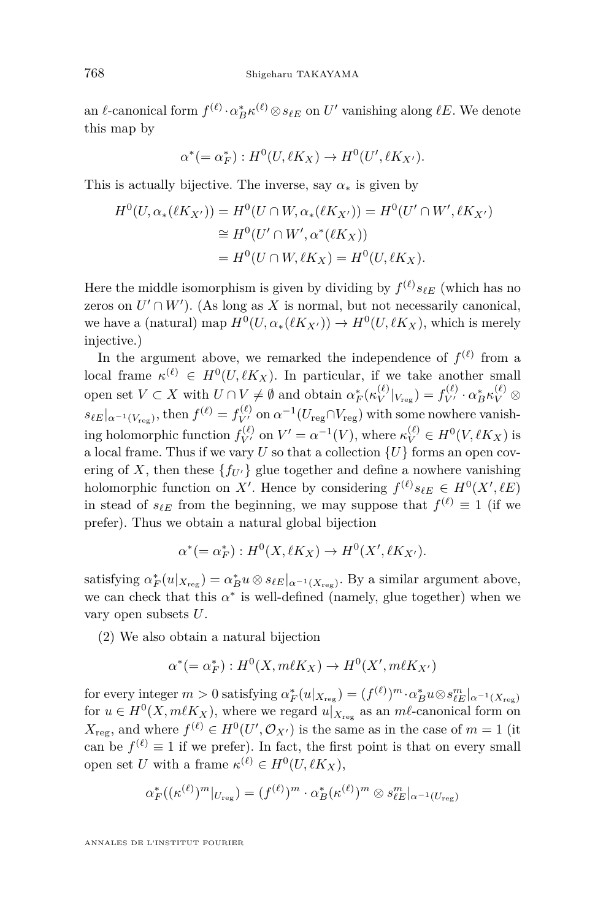an  $\ell$ -canonical form  $f^{(\ell)} \cdot \alpha_B^* \kappa^{(\ell)} \otimes s_{\ell E}$  on  $U'$  vanishing along  $\ell E$ . We denote this map by

$$
\alpha^*(=\alpha^*_F): H^0(U, \ell K_X) \to H^0(U', \ell K_{X'}).
$$

This is actually bijective. The inverse, say  $\alpha_*$  is given by

$$
H^{0}(U, \alpha_{*}(\ell K_{X'})) = H^{0}(U \cap W, \alpha_{*}(\ell K_{X'})) = H^{0}(U' \cap W', \ell K_{X'})
$$
  
\n
$$
\cong H^{0}(U' \cap W', \alpha^{*}(\ell K_{X}))
$$
  
\n
$$
= H^{0}(U \cap W, \ell K_{X}) = H^{0}(U, \ell K_{X}).
$$

Here the middle isomorphism is given by dividing by  $f^{(\ell)} s_{\ell E}$  (which has no zeros on  $U' \cap W'$ ). (As long as X is normal, but not necessarily canonical, we have a (natural) map  $H^0(U, \alpha_*(\ell K_{X'})) \to H^0(U, \ell K_X)$ , which is merely injective.)

In the argument above, we remarked the independence of  $f^{(\ell)}$  from a local frame  $\kappa^{(\ell)} \in H^0(U, \ell K_X)$ . In particular, if we take another small open set  $V \subset X$  with  $U \cap V \neq \emptyset$  and obtain  $\alpha_F^*(\kappa_V^{(\ell)})$  $\langle \ell \rangle_{V_{\text{reg}}}$ ) =  $f_{V'}^{(\ell)} \cdot \alpha_B^* \kappa_V^{(\ell)} \otimes$  $s_{\ell E}|_{\alpha^{-1}(V_{\text{reg}})}$ , then  $f^{(\ell)} = f_{V'}^{(\ell)}$  on  $\alpha^{-1}(U_{\text{reg}} \cap V_{\text{reg}})$  with some nowhere vanishing holomorphic function  $f_{V'}^{(\ell)}$  on  $V' = \alpha^{-1}(V)$ , where  $\kappa_V^{(\ell)} \in H^0(V, \ell K_X)$  is a local frame. Thus if we vary  $U$  so that a collection  $\{U\}$  forms an open covering of *X*, then these  ${f_{U'}}$  glue together and define a nowhere vanishing holomorphic function on X'. Hence by considering  $f^{(\ell)} s_{\ell E} \in H^0(X', \ell E)$ in stead of  $s_{\ell E}$  from the beginning, we may suppose that  $f^{(\ell)} \equiv 1$  (if we prefer). Thus we obtain a natural global bijection

$$
\alpha^*(=\alpha_F^*): H^0(X, \ell K_X) \to H^0(X', \ell K_{X'}).
$$

satisfying  $\alpha_F^*(u|_{X_{\text{reg}}}) = \alpha_B^* u \otimes s_{\ell E}|_{\alpha^{-1}(X_{\text{reg}})}$ . By a similar argument above, we can check that this  $\alpha^*$  is well-defined (namely, glue together) when we vary open subsets *U*.

(2) We also obtain a natural bijection

$$
\alpha^*(=\alpha_F^*): H^0(X, m\ell K_X) \to H^0(X', m\ell K_{X'})
$$

 $\text{for every integer } m > 0 \text{ satisfying } \alpha_F^*(u|_{X_{\text{reg}}}) = (f^{(\ell)})^m \cdot \alpha_B^* u \otimes s_{\ell E}^m|_{\alpha^{-1}(X_{\text{reg}})}$ for  $u \in H^0(X, m\ell K_X)$ , where we regard  $u|_{X_{\text{reg}}}$  as an  $m\ell$ -canonical form on  $X_{\text{reg}}$ , and where  $f^{(\ell)} \in H^0(U', \mathcal{O}_{X'})$  is the same as in the case of  $m = 1$  (it can be  $f^{(\ell)} \equiv 1$  if we prefer). In fact, the first point is that on every small open set *U* with a frame  $\kappa^{(\ell)} \in H^0(U, \ell K_X)$ ,

$$
\alpha_F^*((\kappa^{(\ell)})^m|_{U_{\text{reg}}}) = (f^{(\ell)})^m \cdot \alpha_B^* (\kappa^{(\ell)})^m \otimes s_{\ell E}^m|_{\alpha^{-1}(U_{\text{reg}})}
$$

ANNALES DE L'INSTITUT FOURIER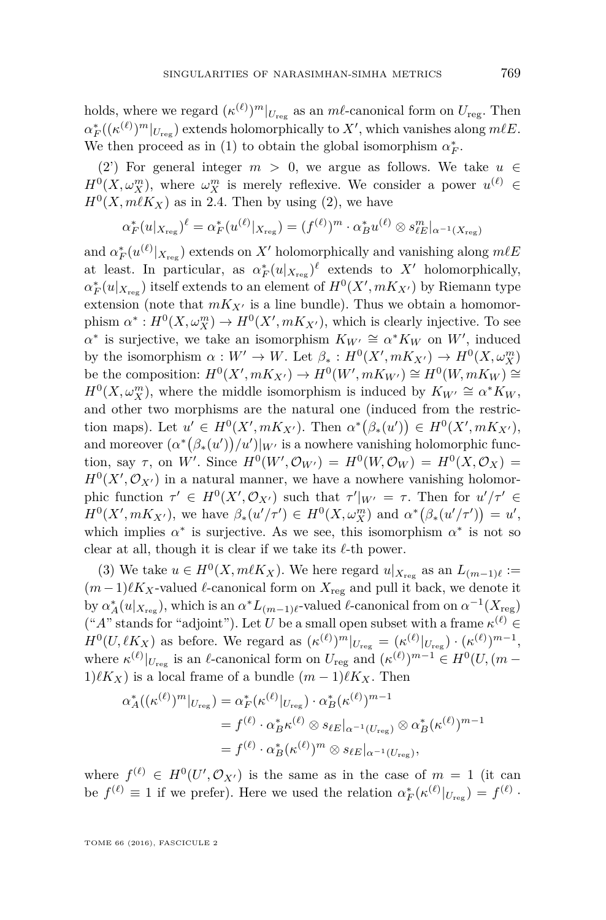holds, where we regard  $(\kappa^{(\ell)})^m|_{U_{\text{reg}}}$  as an  $m\ell$ -canonical form on  $U_{\text{reg}}$ . Then  $\alpha_F^*$  ( $(\kappa^{(\ell)})^m|_{U_{\text{reg}}}$ ) extends holomorphically to *X*<sup> $\prime$ </sup>, which vanishes along *m* $\ell$ *E*. We then proceed as in (1) to obtain the global isomorphism  $\alpha_F^*$ .

(2) For general integer  $m > 0$ , we argue as follows. We take  $u \in$  $H^0(X, \omega_X^m)$ , where  $\omega_X^m$  is merely reflexive. We consider a power  $u^{(\ell)} \in$  $H^0(X, m\ell K_X)$  as in [2.4.](#page-10-1) Then by using (2), we have

$$
\alpha_F^*(u|_{X_{\text{reg}}})^\ell = \alpha_F^*(u^{(\ell)}|_{X_{\text{reg}}}) = (f^{(\ell)})^m \cdot \alpha_B^* u^{(\ell)} \otimes s_{\ell E}^m|_{\alpha^{-1}(X_{\text{reg}})}
$$

and  $\alpha_F^*(u^{(\ell)}|_{X_{\text{reg}}})$  extends on *X'* holomorphically and vanishing along  $m\ell E$ at least. In particular, as  $\alpha_F^*(u|_{X_{\text{reg}}})^{\ell}$  extends to X' holomorphically,  $\alpha_F^*(u|_{X_{\text{reg}}})$  itself extends to an element of  $H^0(X', mK_{X'})$  by Riemann type extension (note that  $mK_{X}$ <sup>0</sup> is a line bundle). Thus we obtain a homomorphism  $\alpha^*: H^0(X, \omega_X^m) \to H^0(X', mK_{X'})$ , which is clearly injective. To see  $\alpha^*$  is surjective, we take an isomorphism  $K_{W'} \cong \alpha^* K_W$  on *W'*, induced by the isomorphism  $\alpha : W' \to W$ . Let  $\beta_* : H^0(X', mK_{X'}) \to H^0(X, \omega_X^m)$ be the composition:  $H^0(X', mK_{X'}) \to H^0(W', mK_{W'}) \cong H^0(W, mK_W) \cong$  $H^0(X, \omega_X^m)$ , where the middle isomorphism is induced by  $K_{W'} \cong \alpha^* K_W$ , and other two morphisms are the natural one (induced from the restriction maps). Let  $u' \in H^0(X', mK_{X'})$ . Then  $\alpha^* (\beta_*(u')) \in H^0(X', mK_{X'})$ , and moreover  $(\alpha^*(\beta_*(u'))/u')|_{W'}$  is a nowhere vanishing holomorphic function, say  $\tau$ , on W'. Since  $H^0(W', \mathcal{O}_{W'}) = H^0(W, \mathcal{O}_W) = H^0(X, \mathcal{O}_X) =$  $H^0(X', \mathcal{O}_{X'})$  in a natural manner, we have a nowhere vanishing holomorphic function  $\tau' \in H^0(X', \mathcal{O}_{X'})$  such that  $\tau'|_{W'} = \tau$ . Then for  $u'/\tau' \in$  $H^{0}(X', mK_{X'})$ , we have  $\beta_{*}(u'/\tau') \in H^{0}(X, \omega_{X}^{m})$  and  $\alpha^{*}(\beta_{*}(u'/\tau')) = u'$ , which implies  $\alpha^*$  is surjective. As we see, this isomorphism  $\alpha^*$  is not so clear at all, though it is clear if we take its  $\ell$ -th power.

(3) We take  $u \in H^0(X, m\ell K_X)$ . We here regard  $u|_{X_{\text{reg}}}$  as an  $L_{(m-1)\ell} :=$  $(m-1)\ell K_X$ -valued  $\ell$ -canonical form on  $X_{reg}$  and pull it back, we denote it by  $\alpha_A^*(u|_{X_{\text{reg}}})$ , which is an  $\alpha^* L_{(m-1)\ell}$ -valued  $\ell$ -canonical from on  $\alpha^{-1}(X_{\text{reg}})$  $({}^{\omega}A^{\omega}$  stands for "adjoint"). Let *U* be a small open subset with a frame  $\kappa^{(\ell)} \in$  $H^0(U, \ell K_X)$  as before. We regard as  $(\kappa^{(\ell)})^m|_{U_{\text{reg}}} = (\kappa^{(\ell)}|_{U_{\text{reg}}}) \cdot (\kappa^{(\ell)})^{m-1}$ , where  $\kappa^{(\ell)}|_{U_{\text{reg}}}$  is an  $\ell$ -canonical form on  $U_{\text{reg}}$  and  $(\kappa^{(\ell)})^{m-1} \in H^0(U, (m - \ell))$  $1)\ell K_X$ ) is a local frame of a bundle  $(m-1)\ell K_X$ . Then

$$
\alpha_A^*((\kappa^{(\ell)})^m|_{U_{\text{reg}}}) = \alpha_F^*(\kappa^{(\ell)}|_{U_{\text{reg}}}) \cdot \alpha_B^*(\kappa^{(\ell)})^{m-1}
$$
  
=  $f^{(\ell)} \cdot \alpha_B^*(\ell) \otimes s_{\ell E}|_{\alpha^{-1}(U_{\text{reg}})} \otimes \alpha_B^*(\kappa^{(\ell)})^{m-1}$   
=  $f^{(\ell)} \cdot \alpha_B^*(\kappa^{(\ell)})^m \otimes s_{\ell E}|_{\alpha^{-1}(U_{\text{reg}})},$ 

where  $f^{(\ell)} \in H^0(U', \mathcal{O}_{X'})$  is the same as in the case of  $m = 1$  (it can be  $f^{(\ell)} \equiv 1$  if we prefer). Here we used the relation  $\alpha_F^*(\kappa^{(\ell)}|_{U_{\text{reg}}}) = f^{(\ell)}$ .

TOME 66 (2016), FASCICULE 2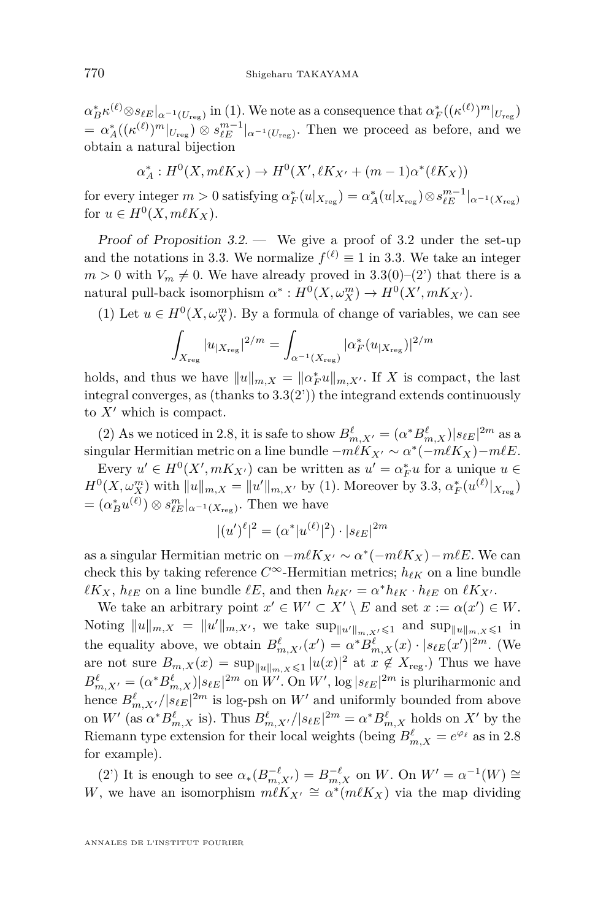$\alpha_B^* \kappa^{(\ell)} \otimes s_{\ell E}|_{\alpha^{-1}(U_{\text{reg}})}$  in (1). We note as a consequence that  $\alpha_F^*((\kappa^{(\ell)})^m|_{U_{\text{reg}}})$  $= \alpha_A^*((\kappa^{(\ell)})^m|_{U_{\text{reg}}}) \otimes s_{\ell E}^{m-1}|_{\alpha^{-1}(U_{\text{reg}})}$ . Then we proceed as before, and we obtain a natural bijection

$$
\alpha_A^* : H^0(X, m\ell K_X) \to H^0(X', \ell K_{X'} + (m-1)\alpha^* (\ell K_X))
$$

 $\text{for every integer } m > 0 \text{ satisfying } \alpha_F^*(u|_{X_{\text{reg}}}) = \alpha_A^*(u|_{X_{\text{reg}}}) \otimes s_{\ell E}^{m-1}|_{\alpha^{-1}(X_{\text{reg}})}$ for  $u \in H^0(X, m\ell K_X)$ .

Proof of Proposition  $3.2$ . — We give a proof of  $3.2$  under the set-up and the notations in [3.3.](#page-15-0) We normalize  $f^{(\ell)} \equiv 1$  in 3.3. We take an integer  $m > 0$  with  $V_m \neq 0$ . We have already proved in [3.3\(](#page-15-0)0)–(2') that there is a natural pull-back isomorphism  $\alpha^*: H^0(X, \omega_X^m) \to H^0(X', mK_{X'})$ .

(1) Let  $u \in H^0(X, \omega_X^m)$ . By a formula of change of variables, we can see

$$
\int_{X_{\rm reg}} |u_{|X_{\rm reg}}|^{2/m} = \int_{\alpha^{-1}(X_{\rm reg})} |\alpha_F^*(u_{|X_{\rm reg}})|^{2/m}
$$

holds, and thus we have  $||u||_{m,X} = ||\alpha_F^*u||_{m,X'}$ . If *X* is compact, the last integral converges, as (thanks to  $3.3(2')$  $3.3(2')$ ) the integrand extends continuously to  $X'$  which is compact.

(2) As we noticed in [2.8,](#page-12-0) it is safe to show  $B_{m,X'}^{\ell} = (\alpha^* B_{m,X}^{\ell})|s_{\ell E}|^{2m}$  as a singular Hermitian metric on a line bundle  $-m\ell K_{X'} \sim \alpha^* (-m\ell K_X) - m\ell E$ .

Every  $u' \in H^0(X', mK_{X'})$  can be written as  $u' = \alpha_F^* u$  for a unique  $u \in$  $H^{0}(X, \omega_{X}^{m})$  with  $||u||_{m,X} = ||u'||_{m,X'}$  by (1). Moreover by [3.3,](#page-15-0)  $\alpha_{F}^{*}(u^{(\ell)}|_{X_{reg}})$  $= (\alpha_B^* u^{(\ell)}) \otimes s_{\ell E}^m|_{\alpha^{-1}(X_{\text{reg}})}.$  Then we have

$$
|(u')^{\ell}|^2 = (\alpha^* |u^{(\ell)}|^2) \cdot |s_{\ell E}|^{2m}
$$

as a singular Hermitian metric on  $-m\ell K_{X'} \sim \alpha^* (-m\ell K_X) - m\ell E$ . We can check this by taking reference  $C^{\infty}$ -Hermitian metrics;  $h_{\ell K}$  on a line bundle  $\ell K_X$ ,  $h_{\ell E}$  on a line bundle  $\ell E$ , and then  $h_{\ell K'} = \alpha^* h_{\ell K} \cdot h_{\ell E}$  on  $\ell K_{X'}$ .

We take an arbitrary point  $x' \in W' \subset X' \setminus E$  and set  $x := \alpha(x') \in W$ . Noting  $||u||_{m,X} = ||u'||_{m,X'}$ , we take  $\sup_{||u'||_{m,X'} \leq 1}$  and  $\sup_{||u||_{m,X} \leq 1}$  in the equality above, we obtain  $B^{\ell}_{m,X'}(x') = \alpha^* B^{\ell}_{m,X}(x) \cdot |s_{\ell E}(x')|^{2m}$ . (We are not sure  $B_{m,X}(x) = \sup_{\|u\|_{m,X}\leqslant 1} |u(x)|^2$  at  $x \notin X_{\text{reg}}$ .) Thus we have  $B^{\ell}_{m,X'} = (\alpha^* B^{\ell}_{m,X})|s_{\ell E}|^{2m}$  on *W'*. On *W'*,  $\log |s_{\ell E}|^{2m}$  is pluriharmonic and hence  $B^{\ell}_{m,X'}/|s_{\ell E}|^{2m}$  is log-psh on  $W'$  and uniformly bounded from above on *W'* (as  $\alpha^* B^{\ell}_{m,X}$  is). Thus  $B^{\ell}_{m,X'}/|s_{\ell E}|^{2m} = \alpha^* B^{\ell}_{m,X}$  holds on  $X'$  by the Riemann type extension for their local weights (being  $B^{\ell}_{m,X} = e^{\varphi_{\ell}}$  as in [2.8](#page-12-0) for example).

(2) It is enough to see  $\alpha_*(B_{m,X'}^{-\ell}) = B_{m,X}^{-\ell}$  on W. On  $W' = \alpha^{-1}(W) \cong$ *W*, we have an isomorphism  $m\ell K_{X'} \cong \alpha^*(m\ell K_X)$  via the map dividing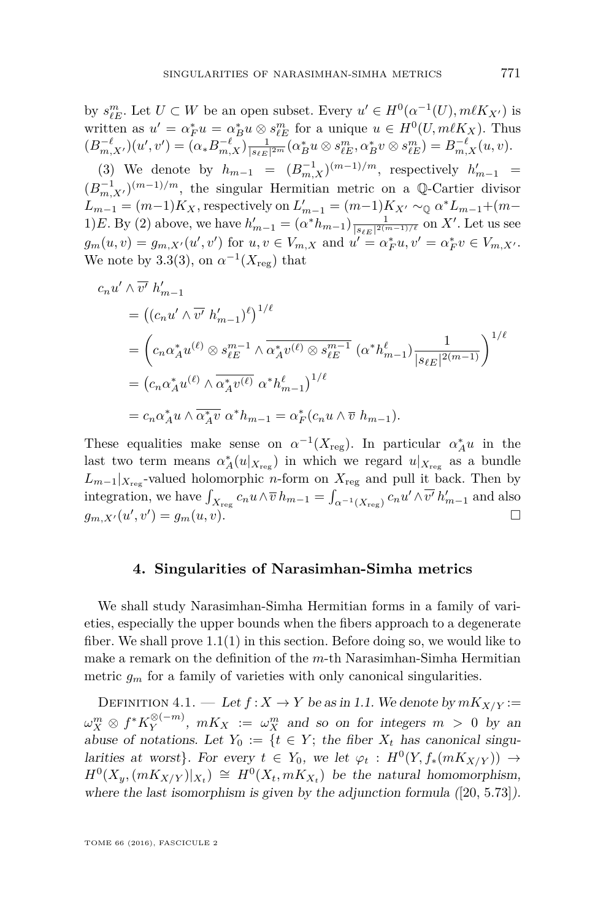by  $s_{\ell E}^m$ . Let  $U \subset W$  be an open subset. Every  $u' \in H^0(\alpha^{-1}(U), m\ell K_{X'})$  is written as  $u' = \alpha_F^* u = \alpha_B^* u \otimes s_{\ell E}^m$  for a unique  $u \in H^0(U, m\ell K_X)$ . Thus  $(B_{m,X'}^{-\ell})(u',v') = (\alpha_* B_{m,X}^{-\ell})_{\frac{1}{|\mathcal{S}\ell E|^{2m}}} (\alpha_B^* u \otimes s_{\ell E}^m, \alpha_B^* v \otimes s_{\ell E}^m) = B_{m,X}^{-\ell}(u,v).$ 

(3) We denote by  $h_{m-1} = (B_{m,X}^{-1})^{(m-1)/m}$ , respectively  $h'_{m-1} =$  $(B_{m,X'}^{-1})^{(m-1)/m}$ , the singular Hermitian metric on a Q-Cartier divisor  $L_{m-1} = (m-1)K_X$ , respectively on  $L'_{m-1} = (m-1)K_{X'} \sim_{\mathbb{Q}} \alpha^* L_{m-1} + (m-1)K_{X'}$ 1)*E*. By (2) above, we have  $h'_{m-1} = (\alpha^* h_{m-1}) \frac{1}{|s_{\ell E}|^{2(m-1)/\ell}}$  on X'. Let us see  $g_m(u, v) = g_{m, X'}(u', v')$  for  $u, v \in V_{m, X}$  and  $u' = \alpha_F^* u, v' = \alpha_F^* v \in V_{m, X'}$ . We note by [3.3\(](#page-15-0)3), on  $\alpha^{-1}(X_{\text{reg}})$  that

$$
c_n u' \wedge \overline{v'} h'_{m-1}
$$
  
= 
$$
((c_n u' \wedge \overline{v'} h'_{m-1})^{\ell})^{1/\ell}
$$
  
= 
$$
(c_n \alpha_A^* u^{(\ell)} \otimes s_{\ell E}^{m-1} \wedge \overline{\alpha_A^* v^{(\ell)} \otimes s_{\ell E}^{m-1}} (\alpha^* h'_{m-1}) \frac{1}{|s_{\ell E}|^{2(m-1)}})^{1/\ell}
$$
  
= 
$$
(c_n \alpha_A^* u^{(\ell)} \wedge \overline{\alpha_A^* v^{(\ell)}} \alpha^* h'_{m-1})^{1/\ell}
$$
  
= 
$$
c_n \alpha_A^* u \wedge \overline{\alpha_A^* v} \alpha^* h_{m-1} = \alpha_F^* (c_n u \wedge \overline{v} h_{m-1}).
$$

These equalities make sense on  $\alpha^{-1}(X_{\text{reg}})$ . In particular  $\alpha_A^* u$  in the last two term means  $\alpha_A^*(u|_{X_{\text{reg}}})$  in which we regard  $u|_{X_{\text{reg}}}$  as a bundle  $L_{m-1}|_{X_{\text{reg}}}$ -valued holomorphic *n*-form on  $X_{\text{reg}}$  and pull it back. Then by integration, we have  $\int_{X_{\text{reg}}} c_n u \wedge \overline{v} \, h_{m-1} = \int_{\alpha^{-1}(X_{\text{reg}})} c_n u' \wedge \overline{v'} \, h'_{m-1}$  and also  $g_{m,X'}(u',v') = g_m(u,v).$ 

#### **4. Singularities of Narasimhan-Simha metrics**

<span id="page-19-1"></span>We shall study Narasimhan-Simha Hermitian forms in a family of varieties, especially the upper bounds when the fibers approach to a degenerate fiber. We shall prove  $1.1(1)$  $1.1(1)$  in this section. Before doing so, we would like to make a remark on the definition of the *m*-th Narasimhan-Simha Hermitian metric  $g_m$  for a family of varieties with only canonical singularities.

<span id="page-19-0"></span>DEFINITION 4.1. — Let  $f: X \to Y$  be as in [1.1.](#page-2-0) We denote by  $mK_{X/Y}$ :=  $\omega_X^m \otimes f^*K_Y^{\otimes (-m)}$  $y^{(0,-m)}$ ,  $mK_X := \omega_X^m$  and so on for integers  $m > 0$  by an abuse of notations. Let  $Y_0 := \{t \in Y;$  the fiber  $X_t$  has canonical singularities at worst}. For every  $t \in Y_0$ , we let  $\varphi_t : H^0(Y, f_*(mK_{X/Y})) \to$  $H^0(X_y, (mK_{X/Y})|_{X_t}) \cong H^0(X_t, mK_{X_t})$  be the natural homomorphism, where the last isomorphism is given by the adjunction formula  $([20, 5.73])$  $([20, 5.73])$  $([20, 5.73])$ .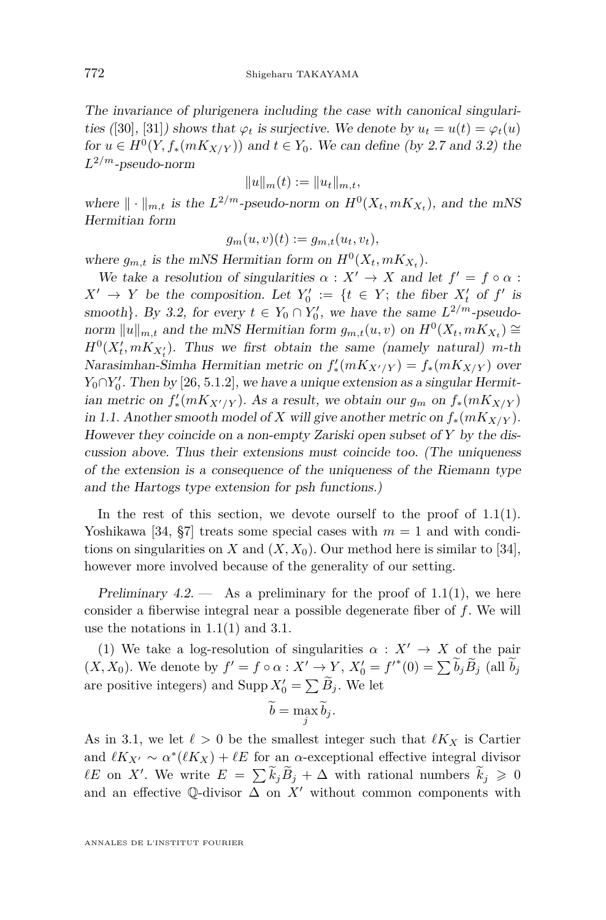The invariance of plurigenera including the case with canonical singulari-ties ([\[30\]](#page-31-0), [\[31\]](#page-31-7)) shows that  $\varphi_t$  is surjective. We denote by  $u_t = u(t) = \varphi_t(u)$ for  $u \in H^0(Y, f_*(mK_{X/Y}))$  and  $t \in Y_0$ . We can define (by [2.7](#page-12-1) and [3.2\)](#page-14-0) the *L* <sup>2</sup>*/m*-pseudo-norm

$$
||u||_m(t) := ||u_t||_{m,t},
$$

where  $\| \cdot \|_{m,t}$  is the  $L^{2/m}$ -pseudo-norm on  $H^0(X_t, mK_{X_t})$ , and the mNS Hermitian form

$$
g_m(u,v)(t) := g_{m,t}(u_t,v_t),
$$

where  $g_{m,t}$  is the mNS Hermitian form on  $H^0(X_t, mK_{X_t})$ .

We take a resolution of singularities  $\alpha : X' \to X$  and let  $f' = f \circ \alpha$ :  $X' \rightarrow Y$  be the composition. Let  $Y'_0 := \{t \in Y;$  the fiber  $X'_t$  of  $f'$  is smooth}. By [3.2,](#page-14-0) for every  $t \in Y_0 \cap Y'_0$ , we have the same  $L^{2/m}$ -pseudonorm  $||u||_{m,t}$  and the mNS Hermitian form  $g_{m,t}(u, v)$  on  $H^0(X_t, mK_{X_t}) \cong$  $H^0(X'_t, mK_{X'_t})$ . Thus we first obtain the same (namely natural) *m*-th Narasimhan-Simha Hermitian metric on  $f'_{*}(mK_{X'/Y}) = f_{*}(mK_{X/Y})$  over  $Y_0 \cap Y'_0$ . Then by [\[26,](#page-30-0) 5.1.2], we have a unique extension as a singular Hermit- $\lim_{M \to \infty} \int_{-\infty}^{M} f(x) \, dx \, dX$  a result, we obtain our  $g_m$  on  $f_*(mK_{X/Y})$ in [1.1.](#page-2-0) Another smooth model of *X* will give another metric on  $f_*(mK_{X/Y})$ . However they coincide on a non-empty Zariski open subset of *Y* by the discussion above. Thus their extensions must coincide too. (The uniqueness of the extension is a consequence of the uniqueness of the Riemann type and the Hartogs type extension for psh functions.)

In the rest of this section, we devote ourself to the proof of [1.1\(](#page-2-0)1). Yoshikawa [\[34,](#page-31-3)  $\S7$ ] treats some special cases with  $m = 1$  and with conditions on singularities on *X* and  $(X, X_0)$ . Our method here is similar to [\[34\]](#page-31-3), however more involved because of the generality of our setting.

<span id="page-20-0"></span>Preliminary 4.2.  $\qquad$  As a preliminary for the proof of [1.1\(](#page-2-0)1), we here consider a fiberwise integral near a possible degenerate fiber of *f*. We will use the notations in [1.1\(](#page-2-0)1) and [3.1.](#page-13-1)

(1) We take a log-resolution of singularities  $\alpha : X' \to X$  of the pair  $(X, X_0)$ . We denote by  $f' = f \circ \alpha : X' \to Y$ ,  $X'_0 = {f'}^*(0) = \sum \widetilde{b}_j \widetilde{B}_j$  (all  $\widetilde{b}_j$ are positive integers) and Supp  $X'_0 = \sum \tilde{B}_j$ . We let

$$
\widetilde{b} = \max_{j} \widetilde{b}_{j}.
$$

As in [3.1,](#page-13-1) we let  $\ell > 0$  be the smallest integer such that  $\ell K_X$  is Cartier and  $\ell K_{X'} \sim \alpha^* (\ell K_X) + \ell E$  for an  $\alpha$ -exceptional effective integral divisor  $\ell E$  on *X'*. We write  $E = \sum \tilde{k}_j \tilde{B}_j + \Delta$  with rational numbers  $\tilde{k}_j \geq 0$ and an effective  $\mathbb Q$ -divisor  $\Delta$  on  $X'$  without common components with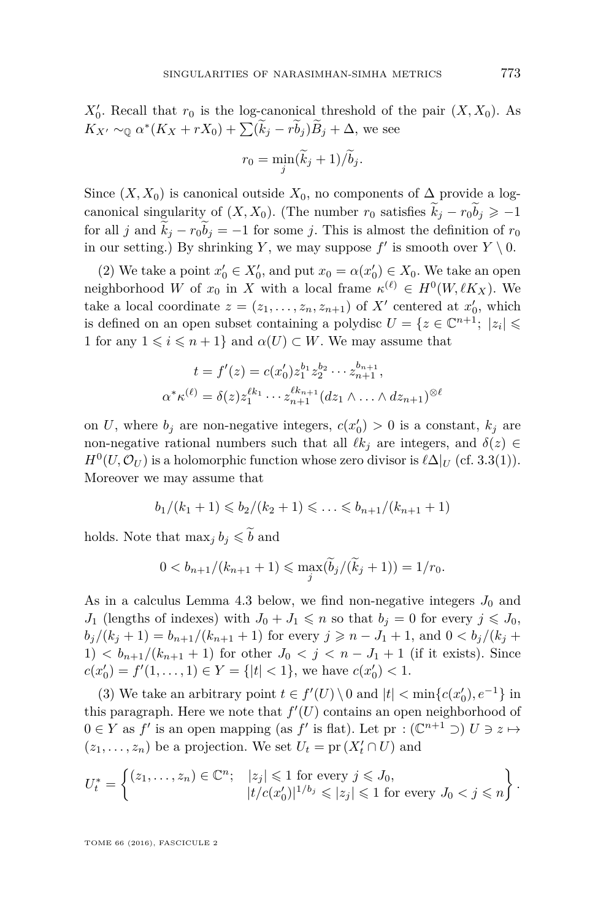$X'_0$ . Recall that  $r_0$  is the log-canonical threshold of the pair  $(X, X_0)$ . As  $K_{X'} \sim_{\mathbb{Q}} \alpha^*(K_X + rX_0) + \sum (\tilde{k}_j - r\tilde{b}_j)\tilde{B}_j + \Delta$ , we see

$$
r_0 = \min_j (\widetilde{k}_j + 1) / \widetilde{b}_j.
$$

Since  $(X, X_0)$  is canonical outside  $X_0$ , no components of  $\Delta$  provide a logcanonical singularity of  $(X, X_0)$ . (The number  $r_0$  satisfies  $\tilde{k}_j - r_0 \tilde{b}_j \geq -1$ for all *j* and  $k_j - r_0 b_j = -1$  for some *j*. This is almost the definition of  $r_0$ in our setting.) By shrinking *Y*, we may suppose  $f'$  is smooth over  $Y \setminus 0$ .

(2) We take a point  $x'_0 \in X'_0$ , and put  $x_0 = \alpha(x'_0) \in X_0$ . We take an open neighborhood *W* of  $x_0$  in *X* with a local frame  $\kappa^{(\ell)} \in H^0(W, \ell K_X)$ . We take a local coordinate  $z = (z_1, \ldots, z_n, z_{n+1})$  of  $X'$  centered at  $x'_0$ , which is defined on an open subset containing a polydisc  $U = \{z \in \mathbb{C}^{n+1}; |z_i| \leq \}$ 1 for any  $1 \leq i \leq n+1$ } and  $\alpha(U) \subset W$ . We may assume that

$$
t = f'(z) = c(x'_0)z_1^{b_1}z_2^{b_2}\cdots z_{n+1}^{b_{n+1}},
$$
  

$$
\alpha^* \kappa^{(\ell)} = \delta(z)z_1^{\ell k_1} \cdots z_{n+1}^{\ell k_{n+1}}(dz_1 \wedge \cdots \wedge dz_{n+1})^{\otimes \ell}
$$

on *U*, where  $b_j$  are non-negative integers,  $c(x'_0) > 0$  is a constant,  $k_j$  are non-negative rational numbers such that all  $\ell k_j$  are integers, and  $\delta(z) \in$  $H^0(U, \mathcal{O}_U)$  is a holomorphic function whose zero divisor is  $\ell \Delta |_U$  (cf. [3.3\(](#page-15-0)1)). Moreover we may assume that

$$
b_1/(k_1+1) \leq b_2/(k_2+1) \leq \ldots \leq b_{n+1}/(k_{n+1}+1)
$$

holds. Note that  $\max_j b_j \leq \tilde{b}$  and

$$
0 < b_{n+1}/(k_{n+1}+1) \leq \max_{j}(\widetilde{b}_j/(\widetilde{k}_j+1)) = 1/r_0.
$$

As in a calculus Lemma [4.3](#page-25-1) below, we find non-negative integers  $J_0$  and *J*<sub>1</sub> (lengths of indexes) with  $J_0 + J_1 \leq n$  so that  $b_j = 0$  for every  $j \leq J_0$ ,  $b_j/(k_j+1) = b_{n+1}/(k_{n+1}+1)$  for every  $j \geq n - J_1 + 1$ , and  $0 < b_j/(k_j+1)$ 1)  **for other**  $J_0 < j < n - J_1 + 1$  **(if it exists). Since**  $c(x'_0) = f'(1, \ldots, 1) \in Y = \{|t| < 1\}$ , we have  $c(x'_0) < 1$ .

(3) We take an arbitrary point  $t \in f'(U) \setminus 0$  and  $|t| < \min\{c(x'_0), e^{-1}\}\$ in this paragraph. Here we note that  $f'(U)$  contains an open neighborhood of  $0 \in Y$  as  $f'$  is an open mapping (as  $f'$  is flat). Let pr :  $(\mathbb{C}^{n+1} \supset U \ni z \mapsto$  $(z_1, \ldots, z_n)$  be a projection. We set  $U_t = \text{pr}(X_t' \cap U)$  and

$$
U_t^* = \left\{ \begin{matrix} (z_1, \ldots, z_n) \in \mathbb{C}^n; & |z_j| \leq 1 \text{ for every } j \leq J_0, \\ & |t/c(x'_0)|^{1/b_j} \leq |z_j| \leq 1 \text{ for every } J_0 < j \leq n \end{matrix} \right\}.
$$

TOME 66 (2016), FASCICULE 2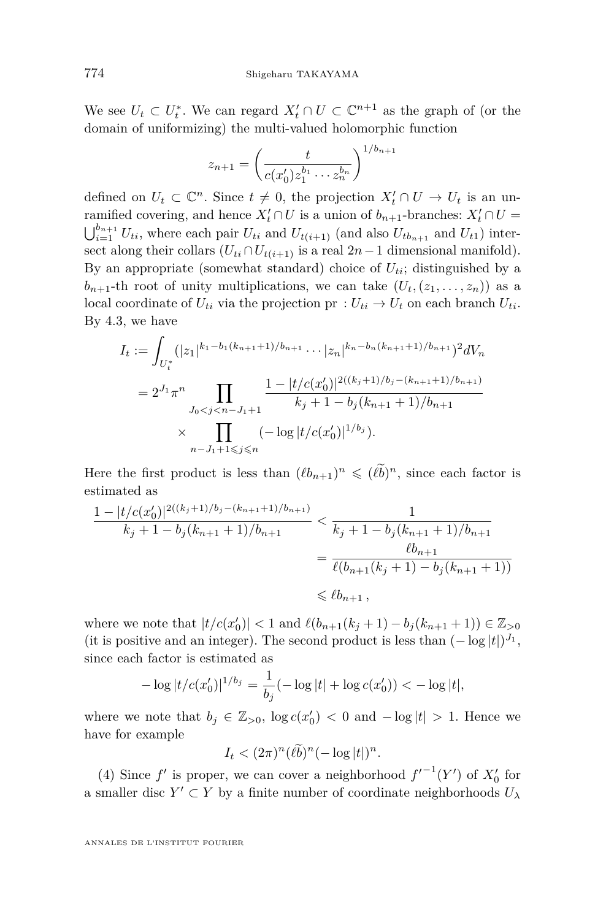We see  $U_t \subset U_t^*$ . We can regard  $X_t' \cap U \subset \mathbb{C}^{n+1}$  as the graph of (or the domain of uniformizing) the multi-valued holomorphic function

$$
z_{n+1} = \left(\frac{t}{c(x'_0)z_1^{b_1}\cdots z_n^{b_n}}\right)^{1/b_{n+1}}
$$

defined on  $U_t \subset \mathbb{C}^n$ . Since  $t \neq 0$ , the projection  $X'_t \cap U \to U_t$  is an unramified covering, and hence  $X'_t \cap U$  is a union of  $b_{n+1}$ -branches:  $X'_t \cap U =$  $\bigcup_{i=1}^{b_{n+1}} U_{ti}$ , where each pair  $U_{ti}$  and  $U_{t(i+1)}$  (and also  $U_{tb_{n+1}}$  and  $U_{t1}$ ) intersect along their collars  $(U_{ti} \cap U_{t(i+1)})$  is a real  $2n-1$  dimensional manifold). By an appropriate (somewhat standard) choice of  $U_{ti}$ ; distinguished by a  $b_{n+1}$ -th root of unity multiplications, we can take  $(U_t, (z_1, \ldots, z_n))$  as a local coordinate of  $U_{ti}$  via the projection pr  $: U_{ti} \to U_t$  on each branch  $U_{ti}$ . By [4.3,](#page-25-1) we have

$$
I_t := \int_{U_t^*} (|z_1|^{k_1 - b_1(k_{n+1}+1)/b_{n+1}} \cdots |z_n|^{k_n - b_n(k_{n+1}+1)/b_{n+1}})^2 dV_n
$$
  
=  $2^{J_1} \pi^n \prod_{J_0 < j < n - J_1 + 1} \frac{1 - |t/c(x'_0)|^{2((k_j+1)/b_j - (k_{n+1}+1)/b_{n+1})}}{k_j + 1 - b_j(k_{n+1}+1)/b_{n+1}}$   
×  $\prod_{n-J_1+1 \le j \le n} (-\log |t/c(x'_0)|^{1/b_j}).$ 

Here the first product is less than  $(\ell b_{n+1})^n \leq (\ell \tilde{b})^n$ , since each factor is estimated as

$$
\frac{1 - |t/c(x_0')|^{2((k_j+1)/b_j - (k_{n+1}+1)/b_{n+1})}}{k_j + 1 - b_j(k_{n+1}+1)/b_{n+1}} < \frac{1}{k_j + 1 - b_j(k_{n+1}+1)/b_{n+1}}
$$
  
= 
$$
\frac{\ell b_{n+1}}{\ell(b_{n+1}(k_j + 1) - b_j(k_{n+1}+1))}
$$
  
\$\leq \ell b\_{n+1}\$,

where we note that  $|t/c(x_0')| < 1$  and  $\ell(b_{n+1}(k_j+1) - b_j(k_{n+1}+1)) \in \mathbb{Z}_{>0}$ (it is positive and an integer). The second product is less than  $(-\log|t|)^{J_1}$ , since each factor is estimated as

$$
-\log|t/c(x'_0)|^{1/b_j} = \frac{1}{b_j}(-\log|t| + \log c(x'_0)) < -\log|t|,
$$

where we note that  $b_j \in \mathbb{Z}_{>0}$ ,  $\log c(x'_0) < 0$  and  $-\log|t| > 1$ . Hence we have for example

 $I_t < (2\pi)^n (\ell \tilde{b})^n (-\log |\mathcal{t}|)^n$ .

(4) Since  $f'$  is proper, we can cover a neighborhood  $f'^{-1}(Y')$  of  $X'_0$  for a smaller disc  $Y' \subset Y$  by a finite number of coordinate neighborhoods  $U_{\lambda}$ 

ANNALES DE L'INSTITUT FOURIER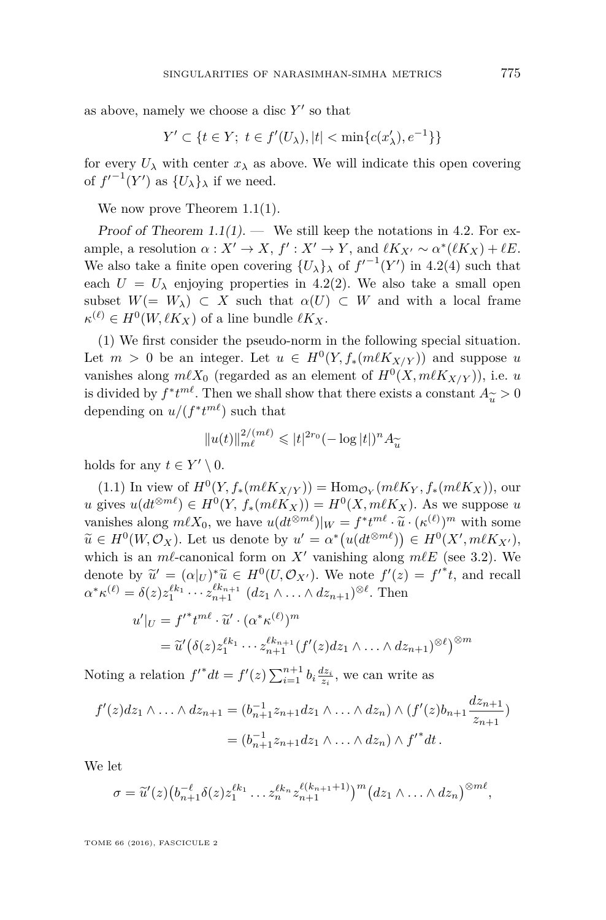as above, namely we choose a disc  $Y'$  so that

$$
Y' \subset \{ t \in Y; \ t \in f'(U_\lambda), |t| < \min\{c(x_\lambda'), e^{-1}\} \}
$$

for every  $U_{\lambda}$  with center  $x_{\lambda}$  as above. We will indicate this open covering of  $f'^{-1}(Y')$  as  $\{U_\lambda\}_\lambda$  if we need.

We now prove Theorem [1.1\(](#page-2-0)1).

Proof of Theorem [1.1\(](#page-2-0)1). — We still keep the notations in [4.2.](#page-20-0) For example, a resolution  $\alpha: X' \to X$ ,  $f': X' \to Y$ , and  $\ell K_{X'} \sim \alpha^*(\ell K_X) + \ell E$ . We also take a finite open covering  ${U_{\lambda}}_{\lambda}$  of  $f'^{-1}(Y')$  in [4.2\(](#page-20-0)4) such that each  $U = U_{\lambda}$  enjoying properties in [4.2\(](#page-20-0)2). We also take a small open subset  $W(= W_\lambda) \subset X$  such that  $\alpha(U) \subset W$  and with a local frame  $\kappa^{(\ell)} \in H^0(W, \ell K_X)$  of a line bundle  $\ell K_X$ .

(1) We first consider the pseudo-norm in the following special situation. Let  $m > 0$  be an integer. Let  $u \in H^0(Y, f_*(m\ell K_{X/Y}))$  and suppose  $u$ vanishes along  $m\ell X_0$  (regarded as an element of  $H^0(X, m\ell K_{X/Y})$ ), i.e. *u* is divided by  $f^*t^{m\ell}$ . Then we shall show that there exists a constant  $A_{\widetilde{u}} > 0$ <br>depending on  $u/(f^*t^{m\ell})$  such that depending on  $u/(f^*t^{m\ell})$  such that

$$
||u(t)||_{m\ell}^{2/(m\ell)} \leqslant |t|^{2r_0} (-\log|t|)^n A_{\widetilde{u}}
$$

holds for any  $t \in Y' \setminus 0$ .

 $(1.1)$  In view of  $H^0(Y, f_*(m\ell K_{X/Y})) = \text{Hom}_{\mathcal{O}_Y}(m\ell K_Y, f_*(m\ell K_X)),$  our  $u$  gives  $u(dt^{\otimes m\ell}) \in H^0(Y, f_*(m\ell K_X)) = H^0(X, m\ell K_X)$ . As we suppose  $u$ vanishes along  $m\ell X_0$ , we have  $u(dt^{\otimes m\ell})|_W = f^*t^{m\ell} \cdot \tilde{u} \cdot (\kappa^{(\ell)})^m$  with some  $\tilde{u} \in H^0(W,\mathcal{O})$ .  $\widetilde{u} \in H^0(W, \mathcal{O}_X)$ . Let us denote by  $u' = \alpha^* (u(dt^{\otimes m\ell})) \in H^0(X', m\ell K_{X'})$ ,<br>which is an  $m\ell$  cononical form on  $X'$  uniching clang  $m\ell F$  (see 2.3), We which is an  $m\ell$ -canonical form on X<sup> $\prime$ </sup> vanishing along  $m\ell E$  (see [3.2\)](#page-14-0). We denote by  $\tilde{u}' = (\alpha|_U)^* \tilde{u} \in H^0(U, \mathcal{O}_{X'})$ . We note  $f'(z) = f'^*t$ , and recall  $\alpha^* \kappa^{(\ell)} = \delta(z) z_1^{\ell k_1} \cdots z_{n+1}^{\ell k_{n+1}} \ (dz_1 \wedge \ldots \wedge dz_{n+1})^{\otimes \ell}$ . Then

$$
u'|_{U} = f'^*t^{m\ell} \cdot \widetilde{u}' \cdot (\alpha^* \kappa^{(\ell)})^m
$$
  
=  $\widetilde{u}'(\delta(z)z_1^{\ell k_1} \cdots z_{n+1}^{\ell k_{n+1}}(f'(z)dz_1 \wedge \cdots \wedge dz_{n+1})^{\otimes \ell})^{\otimes m}$ 

Noting a relation  $f'^* dt = f'(z) \sum_{i=1}^{n+1} b_i \frac{dz_i}{z_i}$ , we can write as

$$
f'(z)dz_1 \wedge \ldots \wedge dz_{n+1} = (b_{n+1}^{-1}z_{n+1}dz_1 \wedge \ldots \wedge dz_n) \wedge (f'(z)b_{n+1}\frac{dz_{n+1}}{z_{n+1}})
$$
  
=  $(b_{n+1}^{-1}z_{n+1}dz_1 \wedge \ldots \wedge dz_n) \wedge f'^*dt$ .

We let

$$
\sigma = \widetilde{u}'(z)\big(b_{n+1}^{-\ell}\delta(z)z_1^{\ell k_1}\dots z_n^{\ell k_n}z_{n+1}^{\ell(k_{n+1}+1)}\big)^m\big(dz_1\wedge\ldots\wedge dz_n\big)^{\otimes m\ell},
$$

TOME 66 (2016), FASCICULE 2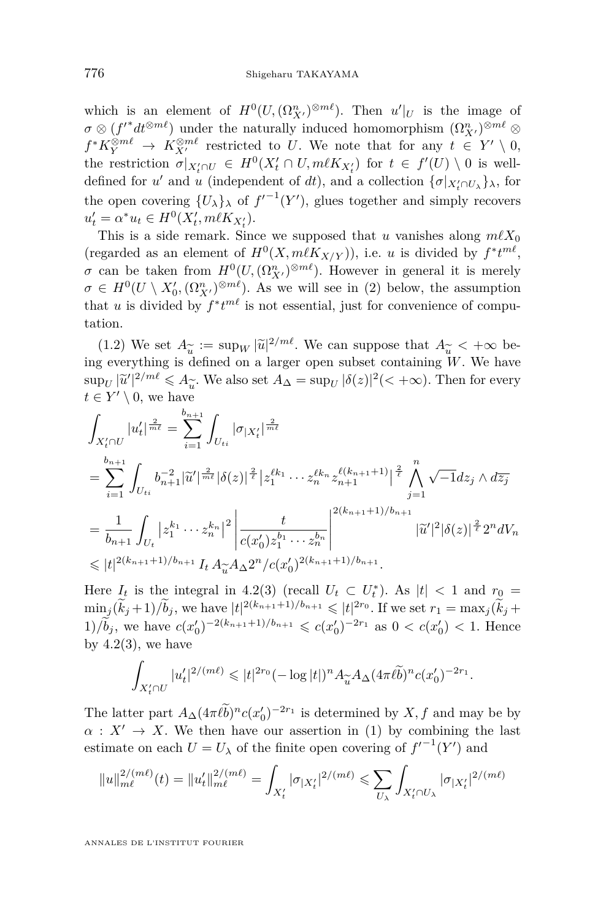which is an element of  $H^0(U, (\Omega^n_{X'})^{\otimes m\ell})$ . Then  $u'|_U$  is the image of  $\sigma \otimes (f'^*dt^{\otimes m\ell})$  under the naturally induced homomorphism  $(\Omega^n_{X'})^{\otimes m\ell} \otimes$  $f^* K_Y^{\otimes m\ell} \to K_{X'}^{\otimes m\ell}$  restricted to *U*. We note that for any  $t \in Y' \setminus 0$ , the restriction  $\sigma|_{X'_{t} \cap U} \in H^{0}(X'_{t} \cap U, m\ell K_{X'_{t}})$  for  $t \in f'(U) \setminus 0$  is welldefined for *u'* and *u* (independent of *dt*), and a collection  $\{\sigma | X_i \cap U_\lambda\}$ , for the open covering  $\{U_{\lambda}\}_{\lambda}$  of  $f'^{-1}(Y')$ , glues together and simply recovers  $u'_t = \alpha^* u_t \in H^0(X'_t, m\ell K_{X'_t}).$ 

This is a side remark. Since we supposed that *u* vanishes along  $m\ell X_0$ (regarded as an element of  $H^0(X, m\ell K_{X/Y})$ ), i.e. *u* is divided by  $f^*t^{m\ell}$ , *σ* can be taken from  $H^0(U, (\Omega^n_{X'})^{\otimes m\ell})$ . However in general it is merely  $\sigma \in H^0(U \setminus X'_0, (\Omega^n_{X'})^{\otimes m\ell})$ . As we will see in (2) below, the assumption that *u* is divided by  $f^*t^{m\ell}$  is not essential, just for convenience of computation.

(1.2) We set  $A_{\widetilde{u}} := \sup_W |\widetilde{u}|^{2/m\ell}$ . We can suppose that  $A_{\widetilde{u}} < +\infty$  begineer withing is defined on a larger open subset containing W. We have ing everything is defined on a larger open subset containing *W*. We have  $\sup_U |\tilde{u}'|^{2/m\ell} \leq A_{\tilde{u}}$ . We also set  $A_{\Delta} = \sup_U |\delta(z)|^2 (< +\infty)$ . Then for every  $t \in Y' \setminus 0$ , we have

$$
\int_{X'_t \cap U} |u'_t|^{\frac{2}{m\ell}} = \sum_{i=1}^{b_{n+1}} \int_{U_{ti}} |\sigma_{|X'_t}|^{\frac{2}{m\ell}}
$$
\n
$$
= \sum_{i=1}^{b_{n+1}} \int_{U_{ti}} b_{n+1}^{-2} |\widetilde{u}'|^{\frac{2}{m\ell}} |\delta(z)|^{\frac{2}{\ell}} |z_1^{\ell k_1} \cdots z_n^{\ell k_n} z_{n+1}^{\ell(k_{n+1}+1)}|^{\frac{2}{\ell}} \bigwedge_{j=1}^n \sqrt{-1} dz_j \wedge d\overline{z_j}
$$
\n
$$
= \frac{1}{b_{n+1}} \int_{U_t} |z_1^{k_1} \cdots z_n^{k_n}|^2 \left| \frac{t}{c(x'_0) z_1^{b_1} \cdots z_n^{b_n}} \right|^{2(k_{n+1}+1)/b_{n+1}} |\widetilde{u}'|^2 |\delta(z)|^{\frac{2}{\ell}} 2^n dV_n
$$
\n
$$
\leq |t|^{2(k_{n+1}+1)/b_{n+1}} I_t A_{\widetilde{u}} A_{\Delta} 2^n / c(x'_0)^{2(k_{n+1}+1)/b_{n+1}}.
$$

Here  $I_t$  is the integral in [4.2\(](#page-20-0)3) (recall  $U_t \subset U_t^*$ ). As  $|t| < 1$  and  $r_0 =$  $\min_{z} (\tilde{k}_j + 1) / \tilde{b}_j$ , we have  $|t|^{2(k_{n+1}+1)/b_{n+1}} \leq |t|^{2r_0}$ . If we set  $r_1 = \max_j (\tilde{k}_j + 1)$  $1)$ / $\tilde{b}_j$ , we have  $c(x'_0)^{-2(k_{n+1}+1)/b_{n+1}} \leqslant c(x'_0)^{-2r_1}$  as  $0 < c(x'_0) < 1$ . Hence by  $4.2(3)$  $4.2(3)$ , we have

$$
\int_{X'_t \cap U} |u'_t|^{2/(m\ell)} \leqslant |t|^{2r_0} (-\log|t|)^n A_{\widetilde{u}} A_{\Delta} (4\pi \ell \widetilde{b})^n c(x'_0)^{-2r_1}.
$$

The latter part  $A_{\Delta}(4\pi\ell\vec{b})^n c(x_0')^{-2r_1}$  is determined by *X, f* and may be by  $\alpha: X' \to X$ . We then have our assertion in (1) by combining the last estimate on each  $U = U_{\lambda}$  of the finite open covering of  $f'^{-1}(Y')$  and

$$
||u||_{m\ell}^{2/(m\ell)}(t) = ||u_t'||_{m\ell}^{2/(m\ell)} = \int_{X_t'} |\sigma_{|X_t'}|^{2/(m\ell)} \leq \sum_{U_\lambda} \int_{X_t' \cap U_\lambda} |\sigma_{|X_t'}|^{2/(m\ell)}
$$

ANNALES DE L'INSTITUT FOURIER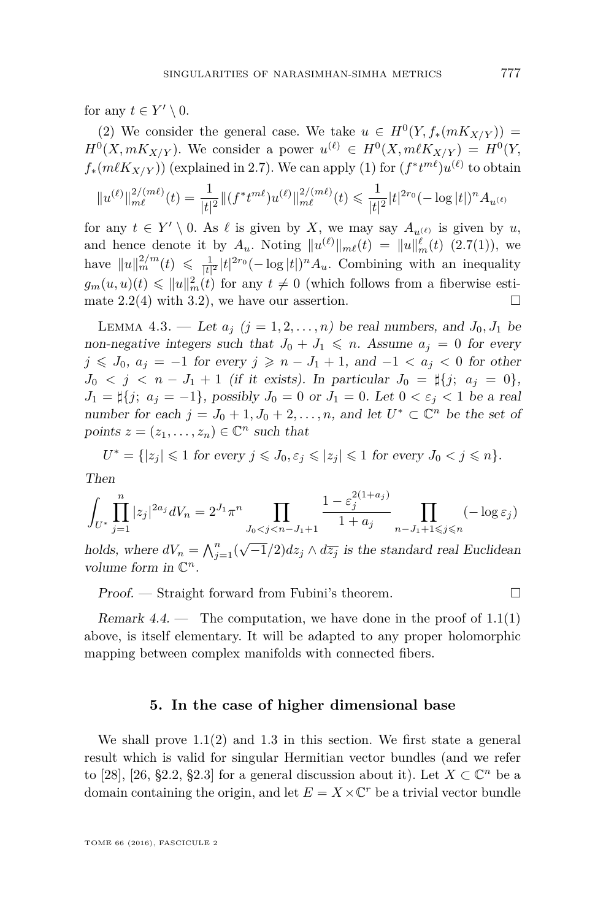for any  $t \in Y' \setminus 0$ .

(2) We consider the general case. We take  $u \in H^0(Y, f_*(mK_{X/Y}))$  =  $H^0(X, mK_{X/Y})$ . We consider a power  $u^{(\ell)} \in H^0(X, m\ell K_{X/Y}) = H^0(Y,$  $f_*(m\ell K_{X/Y})$  (explained in [2.7\)](#page-12-1). We can apply (1) for  $(f^*t^{m\ell})u^{(\ell)}$  to obtain

$$
\|u^{(\ell)}\|_{m\ell}^{2/(m\ell)}(t) = \frac{1}{|t|^2} \|(f^* t^{m\ell}) u^{(\ell)}\|_{m\ell}^{2/(m\ell)}(t) \leqslant \frac{1}{|t|^2} |t|^{2r_0} (-\log|t|)^n A_{u^{(\ell)}}
$$

for any  $t \in Y' \setminus 0$ . As  $\ell$  is given by *X*, we may say  $A_{u^{(\ell)}}$  is given by *u*, and hence denote it by  $A_u$ . Noting  $||u^{(\ell)}||_{m\ell}(t) = ||u||_m^{\ell}(t)$  [\(2.7\(](#page-12-1)1)), we have  $||u||_m^{2/m}(t) \leq \frac{1}{|t|^2} |t|^{2r_0} (-\log|t|)^n A_u$ . Combining with an inequality  $g_m(u, u)(t) \leqslant \|u\|_m^2(t)$  for any  $t \neq 0$  (which follows from a fiberwise esti-mate [2.2\(](#page-8-0)4) with [3.2\)](#page-14-0), we have our assertion.  $\square$ 

<span id="page-25-1"></span>LEMMA 4.3. — Let  $a_j$   $(j = 1, 2, \ldots, n)$  be real numbers, and  $J_0, J_1$  be non-negative integers such that  $J_0 + J_1 \leq n$ . Assume  $a_j = 0$  for every *j* ≤ *J*<sub>0</sub>,  $a_j = -1$  for every *j* ≥  $n - J_1 + 1$ , and  $-1 < a_j < 0$  for other *J*<sub>0</sub>  $\lt j \lt n - J_1 + 1$  (if it exists). In particular  $J_0 = \frac{1}{2}$ ;  $a_j = 0$ , *J*<sub>1</sub> =  $\sharp$ {*j*; *a<sub>j</sub>* = -1}, possibly *J*<sub>0</sub> = 0 or *J*<sub>1</sub> = 0. Let 0 <  $\varepsilon_j$  < 1 be a real number for each  $j = J_0 + 1, J_0 + 2, \ldots, n$ , and let  $U^* \subset \mathbb{C}^n$  be the set of points  $z = (z_1, \ldots, z_n) \in \mathbb{C}^n$  such that

 $U^* = \{ |z_j| \leq 1 \text{ for every } j \leq J_0, \varepsilon_j \leq |z_j| \leq 1 \text{ for every } J_0 < j \leq n \}.$ Then

$$
\int_{U^*} \prod_{j=1}^n |z_j|^{2a_j} dV_n = 2^{J_1} \pi^n \prod_{J_0 < j < n - J_1 + 1} \frac{1 - \varepsilon_j^{2(1+a_j)}}{1 + a_j} \prod_{n - J_1 + 1 \leqslant j \leqslant n} (-\log \varepsilon_j)
$$

holds, where  $dV_n = \bigwedge_{j=1}^n (\sqrt{-1}/2) dz_j \wedge d\overline{z_j}$  is the standard real Euclidean volume form in  $\mathbb{C}^n$ .

Proof. — Straight forward from Fubini's theorem. □

Remark  $4.4.$  — The computation, we have done in the proof of  $1.1(1)$  $1.1(1)$ above, is itself elementary. It will be adapted to any proper holomorphic mapping between complex manifolds with connected fibers.

#### **5. In the case of higher dimensional base**

<span id="page-25-0"></span>We shall prove  $1.1(2)$  $1.1(2)$  and  $1.3$  in this section. We first state a general result which is valid for singular Hermitian vector bundles (and we refer to [\[28\]](#page-31-1), [\[26,](#page-30-0) §2.2, §2.3] for a general discussion about it). Let  $X \subset \mathbb{C}^n$  be a domain containing the origin, and let  $E = X \times \mathbb{C}^r$  be a trivial vector bundle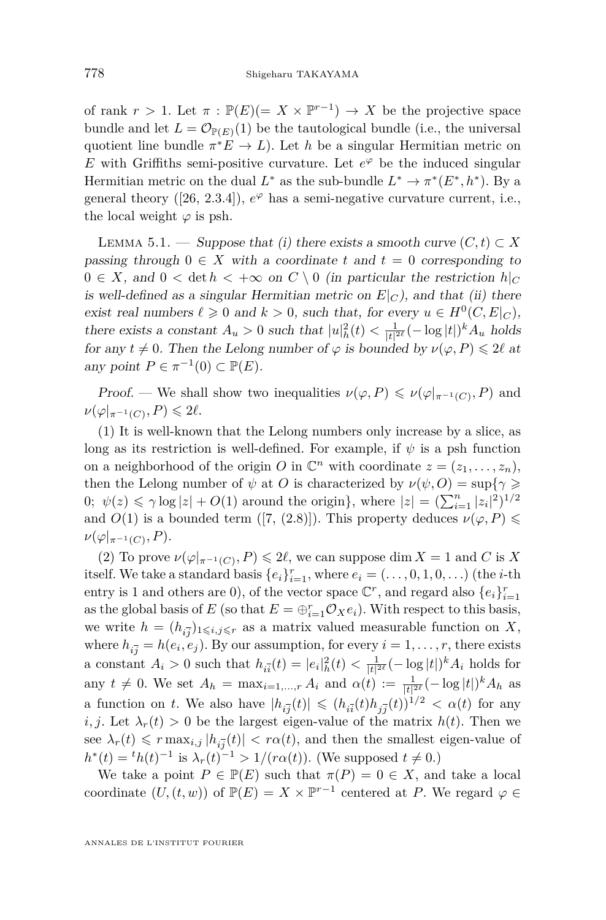of rank  $r > 1$ . Let  $\pi : \mathbb{P}(E) (= X \times \mathbb{P}^{r-1}) \to X$  be the projective space bundle and let  $L = \mathcal{O}_{\mathbb{P}(E)}(1)$  be the tautological bundle (i.e., the universal quotient line bundle  $\pi^* E \to L$ ). Let *h* be a singular Hermitian metric on *E* with Griffiths semi-positive curvature. Let  $e^{\varphi}$  be the induced singular Hermitian metric on the dual  $L^*$  as the sub-bundle  $L^* \to \pi^*(E^*, h^*)$ . By a general theory  $([26, 2.3.4]), e^{\varphi}$  $([26, 2.3.4]), e^{\varphi}$  $([26, 2.3.4]), e^{\varphi}$  has a semi-negative curvature current, i.e., the local weight  $\varphi$  is psh.

<span id="page-26-0"></span>LEMMA 5.1. — Suppose that (i) there exists a smooth curve  $(C, t) \subset X$ passing through  $0 \in X$  with a coordinate  $t$  and  $t = 0$  corresponding to  $0 \in X$ , and  $0 < \det h < +\infty$  on  $C \setminus 0$  (in particular the restriction  $h|_C$ is well-defined as a singular Hermitian metric on  $E|_C$ ), and that (ii) there exist real numbers  $\ell \geqslant 0$  and  $k > 0$ , such that, for every  $u \in H^0(C, E|_C)$ , there exists a constant  $A_u > 0$  such that  $|u|^2_h(t) < \frac{1}{|t|^{2\ell}}(-\log|t|)^k A_u$  holds for any  $t \neq 0$ . Then the Lelong number of  $\varphi$  is bounded by  $\nu(\varphi, P) \leq 2\ell$  at any point  $P \in \pi^{-1}(0) \subset \mathbb{P}(E)$ .

*Proof.* — We shall show two inequalities  $\nu(\varphi, P) \leq \nu(\varphi|_{\pi^{-1}(C)}, P)$  and  $\nu(\varphi|_{\pi^{-1}(C)}, P) \leq 2\ell.$ 

(1) It is well-known that the Lelong numbers only increase by a slice, as long as its restriction is well-defined. For example, if *ψ* is a psh function on a neighborhood of the origin *O* in  $\mathbb{C}^n$  with coordinate  $z = (z_1, \ldots, z_n)$ , then the Lelong number of  $\psi$  at *O* is characterized by  $\nu(\psi, O) = \sup\{\gamma \geq 0\}$ 0;  $\psi(z) \le \gamma \log |z| + O(1)$  around the origin}, where  $|z| = (\sum_{i=1}^{n} |z_i|^2)^{1/2}$ and  $O(1)$  is a bounded term ([\[7,](#page-30-15) (2.8)]). This property deduces  $\nu(\varphi, P) \leq$  $\nu(\varphi|_{\pi^{-1}(C)},P).$ 

(2) To prove  $\nu(\varphi|_{\pi^{-1}(C)}, P) \leq 2\ell$ , we can suppose dim  $X = 1$  and C is X itself. We take a standard basis  $\{e_i\}_{i=1}^r$ , where  $e_i = (\ldots, 0, 1, 0, \ldots)$  (the *i*-th entry is 1 and others are 0), of the vector space  $\mathbb{C}^r$ , and regard also  $\{e_i\}_{i=1}^r$ as the global basis of *E* (so that  $E = \bigoplus_{i=1}^{r} \mathcal{O}_X e_i$ ). With respect to this basis, we write  $h = (h_{i\overline{j}})_{1 \leqslant i,j \leqslant r}$  as a matrix valued measurable function on X, where  $h_{i\overline{j}} = h(e_i, e_j)$ . By our assumption, for every  $i = 1, \ldots, r$ , there exists a constant  $A_i > 0$  such that  $h_{i\bar{i}}(t) = |e_i|^2_h(t) < \frac{1}{|t|^{2\ell}}(-\log|t|)^k A_i$  holds for any  $t \neq 0$ . We set  $A_h = \max_{i=1,\dots,r} A_i$  and  $\alpha(t) := \frac{1}{|t|^{2\ell}} (-\log|t|)^k A_h$  as a function on *t*. We also have  $|h_{i\overline{j}}(t)| \leqslant (h_{i\overline{i}}(t)h_{j\overline{j}}(t))^{1/2} < \alpha(t)$  for any *i, j.* Let  $\lambda_r(t) > 0$  be the largest eigen-value of the matrix  $h(t)$ . Then we see  $\lambda_r(t) \leq r \max_{i,j} |h_{i,j}(t)| < r\alpha(t)$ , and then the smallest eigen-value of *h*<sup>\*</sup>(*t*) = <sup>*t*</sup>*h*(*t*)<sup>-1</sup> is  $\lambda_r(t)$ <sup>-1</sup> > 1/(*rα*(*t*)). (We supposed *t* ≠ 0.)

We take a point  $P \in \mathbb{P}(E)$  such that  $\pi(P) = 0 \in X$ , and take a local coordinate  $(U, (t, w))$  of  $\mathbb{P}(E) = X \times \mathbb{P}^{r-1}$  centered at *P*. We regard  $\varphi \in$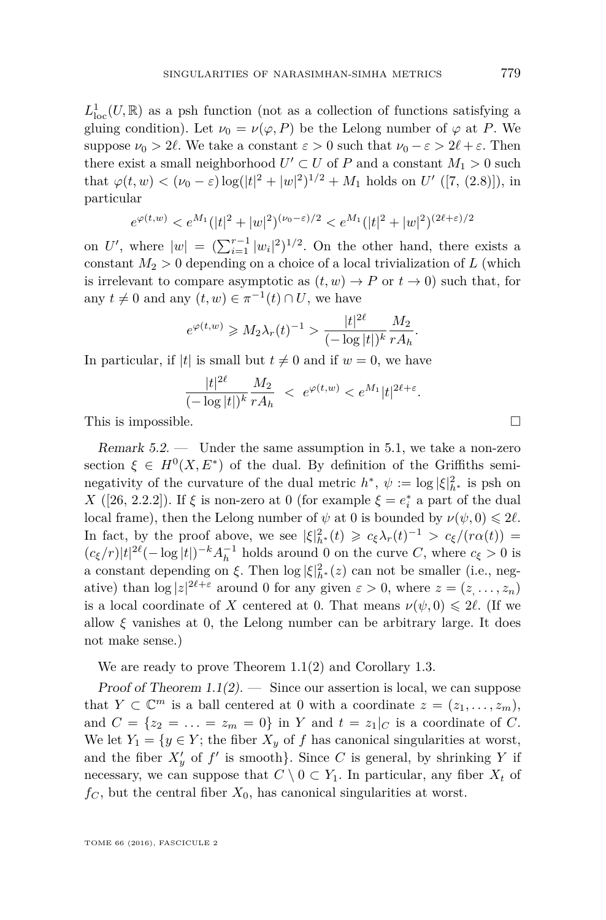$L^1_{loc}(U,\mathbb{R})$  as a psh function (not as a collection of functions satisfying a gluing condition). Let  $\nu_0 = \nu(\varphi, P)$  be the Lelong number of  $\varphi$  at P. We suppose  $\nu_0 > 2\ell$ . We take a constant  $\varepsilon > 0$  such that  $\nu_0 - \varepsilon > 2\ell + \varepsilon$ . Then there exist a small neighborhood  $U' \subset U$  of  $P$  and a constant  $M_1 > 0$  such that  $\varphi(t, w) < (\nu_0 - \varepsilon) \log(|t|^2 + |w|^2)^{1/2} + M_1$  holds on *U'* ([\[7,](#page-30-15) (2.8)]), in particular

$$
e^{\varphi(t,w)} < e^{M_1}(|t|^2 + |w|^2)^{(\nu_0 - \varepsilon)/2} < e^{M_1}(|t|^2 + |w|^2)^{(2\ell + \varepsilon)/2}
$$

on U', where  $|w| = (\sum_{i=1}^{r-1} |w_i|^2)^{1/2}$ . On the other hand, there exists a constant  $M_2 > 0$  depending on a choice of a local trivialization of  $L$  (which is irrelevant to compare asymptotic as  $(t, w) \rightarrow P$  or  $t \rightarrow 0$ ) such that, for any  $t \neq 0$  and any  $(t, w) \in \pi^{-1}(t) \cap U$ , we have

$$
e^{\varphi(t,w)} \ge M_2 \lambda_r(t)^{-1} > \frac{|t|^{2\ell}}{(-\log|t|)^k} \frac{M_2}{r A_h}.
$$

In particular, if |*t*| is small but  $t \neq 0$  and if  $w = 0$ , we have

$$
\frac{|t|^{2\ell}}{(-\log|t|)^k} \frac{M_2}{rA_h} < e^{\varphi(t,w)} < e^{M_1}|t|^{2\ell+\varepsilon}.
$$

This is impossible.  $\Box$ 

Remark  $5.2.$  — Under the same assumption in [5.1,](#page-26-0) we take a non-zero section  $\xi \in H^0(X, E^*)$  of the dual. By definition of the Griffiths seminegativity of the curvature of the dual metric  $h^*, \psi := \log |\xi|_{h^*}^2$  is psh on *X* ([\[26,](#page-30-0) 2.2.2]). If *ξ* is non-zero at 0 (for example  $\xi = e_i^*$  a part of the dual local frame), then the Lelong number of  $\psi$  at 0 is bounded by  $\nu(\psi, 0) \leq 2\ell$ . In fact, by the proof above, we see  $|\xi|_{h^*}^2(t) \geq c_{\xi} \lambda_r(t)^{-1} > c_{\xi}/(r\alpha(t)) =$  $(c_{\xi}/r)|t|^{2\ell}(-\log|t|)^{-k}A_{h}^{-1}$  holds around 0 on the curve *C*, where  $c_{\xi} > 0$  is a constant depending on  $\xi$ . Then  $\log |\xi|_{h^*}^2(z)$  can not be smaller (i.e., negative) than  $\log |z|^{2\ell+\varepsilon}$  around 0 for any given  $\varepsilon > 0$ , where  $z = (z, \ldots, z_n)$ is a local coordinate of *X* centered at 0. That means  $\nu(\psi, 0) \leq 2\ell$ . (If we allow  $\xi$  vanishes at 0, the Lelong number can be arbitrary large. It does not make sense.)

We are ready to prove Theorem [1.1\(](#page-2-0)2) and Corollary [1.3.](#page-5-0)

Proof of Theorem  $1.1(2)$  $1.1(2)$ .  $-$  Since our assertion is local, we can suppose that  $Y \subset \mathbb{C}^m$  is a ball centered at 0 with a coordinate  $z = (z_1, \ldots, z_m)$ , and  $C = \{z_2 = \ldots = z_m = 0\}$  in *Y* and  $t = z_1|_C$  is a coordinate of *C*. We let  $Y_1 = \{y \in Y;$  the fiber  $X_y$  of f has canonical singularities at worst, and the fiber  $X'_y$  of  $f'$  is smooth}. Since *C* is general, by shrinking *Y* if necessary, we can suppose that  $C \setminus 0 \subset Y_1$ . In particular, any fiber  $X_t$  of  $f_C$ , but the central fiber  $X_0$ , has canonical singularities at worst.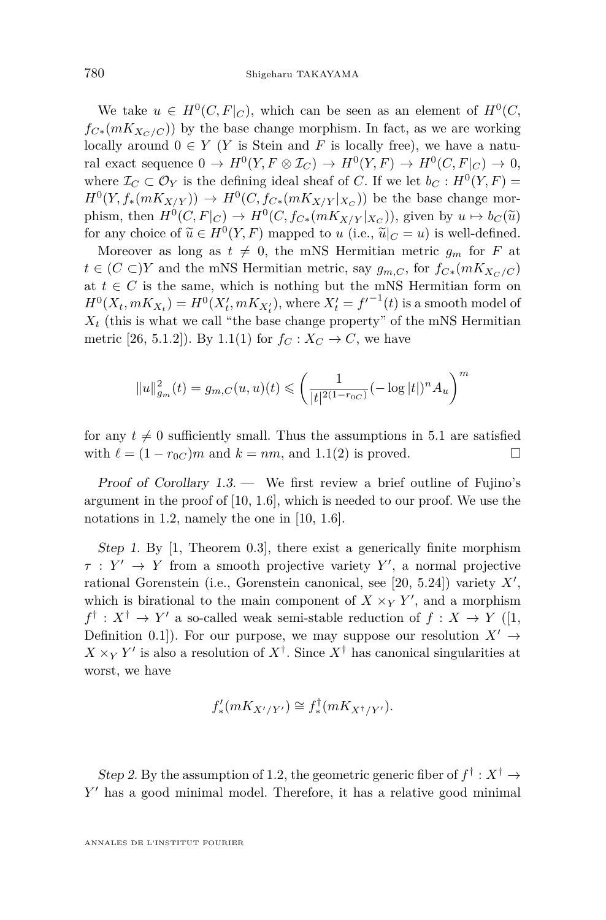We take  $u \in H^0(C, F|_C)$ , which can be seen as an element of  $H^0(C,$  $f_{C*}(mK_{X_C/C})$  by the base change morphism. In fact, as we are working locally around  $0 \in Y$  (*Y* is Stein and *F* is locally free), we have a natural exact sequence  $0 \to H^0(Y, F \otimes I_C) \to H^0(Y, F) \to H^0(C, F|_C) \to 0$ , where  $\mathcal{I}_C \subset \mathcal{O}_Y$  is the defining ideal sheaf of *C*. If we let  $b_C : H^0(Y, F) =$  $H^0(Y, f_*(mK_{X/Y})) \to H^0(C, f_{C*}(mK_{X/Y}|_{X_C}))$  be the base change morphism, then  $H^0(C, F|_C) \to H^0(C, f_{C*}(mK_{X/Y}|_{X_C}))$ , given by  $u \mapsto b_C(\tilde{u})$ <br>for any choice of  $\tilde{u} \in H^0(V, F)$  meanod to  $u_i(\tilde{u} \in \tilde{u}(-x))$  is well defined for any choice of  $\widetilde{u} \in H^0(Y, F)$  mapped to *u* (i.e.,  $\widetilde{u}|_C = u$ ) is well-defined.<br>Moreover as long as  $t \neq 0$ , the mNS Hermitian metric  $\varepsilon$ , for E at

Moreover as long as  $t \neq 0$ , the mNS Hermitian metric  $g_m$  for *F* at *t* ∈ (*C* ⊂)*Y* and the mNS Hermitian metric, say  $g_{m,C}$ , for  $f_{C*}(mK_{X_C/C})$ at  $t \in C$  is the same, which is nothing but the mNS Hermitian form on  $H^0(X_t, mK_{X_t}) = H^0(X'_t, mK_{X'_t}),$  where  $X'_t = f'^{-1}(t)$  is a smooth model of  $X_t$  (this is what we call "the base change property" of the mNS Hermitian metric [\[26,](#page-30-0) 5.1.2]). By [1.1\(](#page-2-0)1) for  $f_C: X_C \to C$ , we have

$$
||u||_{g_m}^2(t) = g_{m,C}(u,u)(t) \le \left(\frac{1}{|t|^{2(1-r_{0C})}}(-\log|t|)^n A_u\right)^m
$$

for any  $t \neq 0$  sufficiently small. Thus the assumptions in [5.1](#page-26-0) are satisfied with  $\ell = (1 - r_{0C})m$  and  $k = nm$ , and [1.1\(](#page-2-0)2) is proved.

Proof of Corollary  $1.3$ . — We first review a brief outline of Fujino's argument in the proof of  $[10, 1.6]$  $[10, 1.6]$ , which is needed to our proof. We use the notations in [1.2,](#page-4-0) namely the one in [\[10,](#page-30-12) 1.6].

Step 1. By [\[1,](#page-29-0) Theorem 0.3], there exist a generically finite morphism  $\tau: Y' \to Y$  from a smooth projective variety Y', a normal projective rational Gorenstein (i.e., Gorenstein canonical, see  $[20, 5.24]$  $[20, 5.24]$ ) variety  $X'$ , which is birational to the main component of  $X \times_Y Y'$ , and a morphism  $f^{\dagger}: X^{\dagger} \to Y'$  a so-called weak semi-stable reduction of  $f: X \to Y$  ([\[1,](#page-29-0) Definition 0.1]). For our purpose, we may suppose our resolution  $X' \rightarrow$  $X \times_Y Y'$  is also a resolution of  $X^{\dagger}$ . Since  $X^{\dagger}$  has canonical singularities at worst, we have

$$
f'_{*}(mK_{X'/Y'}) \cong f^{\dagger}_{*}(mK_{X^{\dagger}/Y'}).
$$

Step 2. By the assumption of [1.2,](#page-4-0) the geometric generic fiber of  $f^{\dagger}: X^{\dagger} \to$ Y' has a good minimal model. Therefore, it has a relative good minimal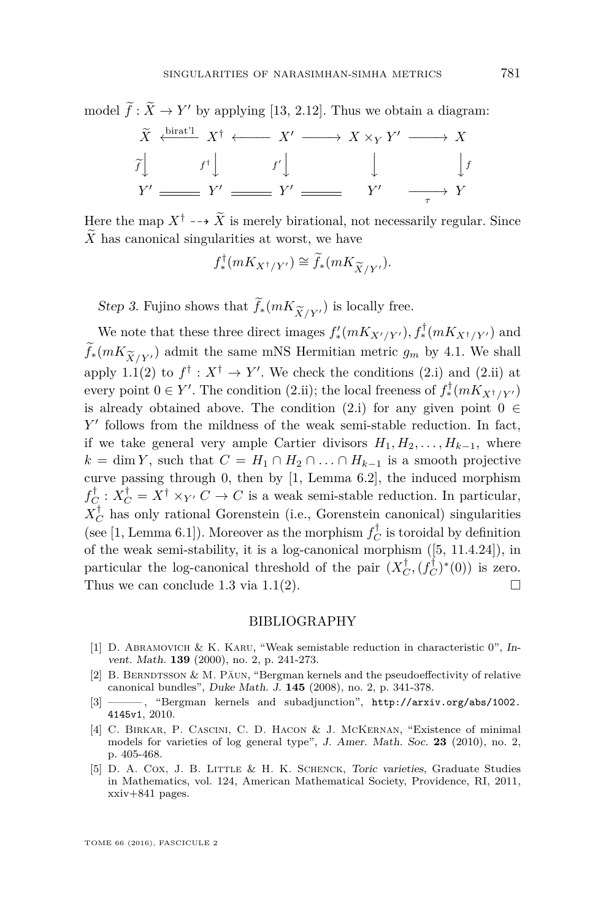model  $f: \tilde{X} \to Y'$  by applying [\[13,](#page-30-20) 2.12]. Thus we obtain a diagram:

$$
\widetilde{X} \xleftarrow{\text{bird}!} X^{\dagger} \longleftarrow X' \longrightarrow X \times_{Y} Y' \longrightarrow X
$$
\n
$$
\widetilde{f} \downarrow \qquad f^{\dagger} \downarrow \qquad f' \downarrow \qquad \qquad \downarrow \qquad \qquad \downarrow f'
$$
\n
$$
Y' \longrightarrow Y' \longrightarrow Y' \longrightarrow Y'
$$

Here the map  $X^{\dagger} \dashrightarrow \widetilde{X}$  is merely birational, not necessarily regular. Since X has canonical singularities at worst, we have

$$
f^{\dagger}_{*}(mK_{X^{\dagger}/Y'}) \cong \widetilde{f}_{*}(mK_{\widetilde{X}/Y'}).
$$

Step 3. Fujino shows that  $f_*(mK_{\widetilde{X}/Y})$  is locally free.

We note that these three direct images  $f'_*(mK_{X'/Y'}), f^{\dagger}_*(mK_{X^{\dagger}/Y'})$  and  $f_*(mK_{\widetilde{X}/Y'})$  admit the same mNS Hermitian metric  $g_m$  by [4.1.](#page-19-0) We shall apply [1.1\(](#page-2-0)2) to  $f^{\dagger}: X^{\dagger} \to Y'$ . We check the conditions (2.i) and (2.ii) at every point  $0 \in Y'$ . The condition (2.ii); the local freeness of  $f^{\dagger}_*(mK_{X^{\dagger}/Y'})$ is already obtained above. The condition (2.i) for any given point  $0 \in$ *Y*' follows from the mildness of the weak semi-stable reduction. In fact, if we take general very ample Cartier divisors  $H_1, H_2, \ldots, H_{k-1}$ , where  $k = \dim Y$ , such that  $C = H_1 \cap H_2 \cap \ldots \cap H_{k-1}$  is a smooth projective curve passing through 0, then by [\[1,](#page-29-0) Lemma 6.2], the induced morphism  $f_C^{\dagger}$ :  $X_C^{\dagger} = X^{\dagger} \times_{Y'} C \rightarrow C$  is a weak semi-stable reduction. In particular,  $X_C^{\dagger}$  has only rational Gorenstein (i.e., Gorenstein canonical) singularities (see [\[1,](#page-29-0) Lemma 6.1]). Moreover as the morphism  $f_C^{\dagger}$  is toroidal by definition of the weak semi-stability, it is a log-canonical morphism ([\[5,](#page-29-4) 11.4.24]), in particular the log-canonical threshold of the pair  $(X_C^{\dagger}, (f_C^{\dagger})^*(0))$  is zero. Thus we can conclude [1.3](#page-5-0) via [1.1\(](#page-2-0)2).  $\Box$ 

#### BIBLIOGRAPHY

- <span id="page-29-0"></span>[1] D. Abramovich & K. Karu, "Weak semistable reduction in characteristic 0", Invent. Math. **139** (2000), no. 2, p. 241-273.
- <span id="page-29-2"></span>[2] B. BERNDTSSON & M. PĂUN, "Bergman kernels and the pseudoeffectivity of relative canonical bundles", Duke Math. J. **145** (2008), no. 2, p. 341-378.
- <span id="page-29-1"></span>[3] ——— , "Bergman kernels and subadjunction", [http://arxiv.org/abs/1002.](http://arxiv.org/abs/1002.4145v1) [4145v1](http://arxiv.org/abs/1002.4145v1), 2010.
- <span id="page-29-3"></span>[4] C. BIRKAR, P. CASCINI, C. D. HACON & J. MCKERNAN, "Existence of minimal models for varieties of log general type", J. Amer. Math. Soc. **23** (2010), no. 2, p. 405-468.
- <span id="page-29-4"></span>[5] D. A. Cox, J. B. Little & H. K. Schenck, Toric varieties, Graduate Studies in Mathematics, vol. 124, American Mathematical Society, Providence, RI, 2011, xxiv+841 pages.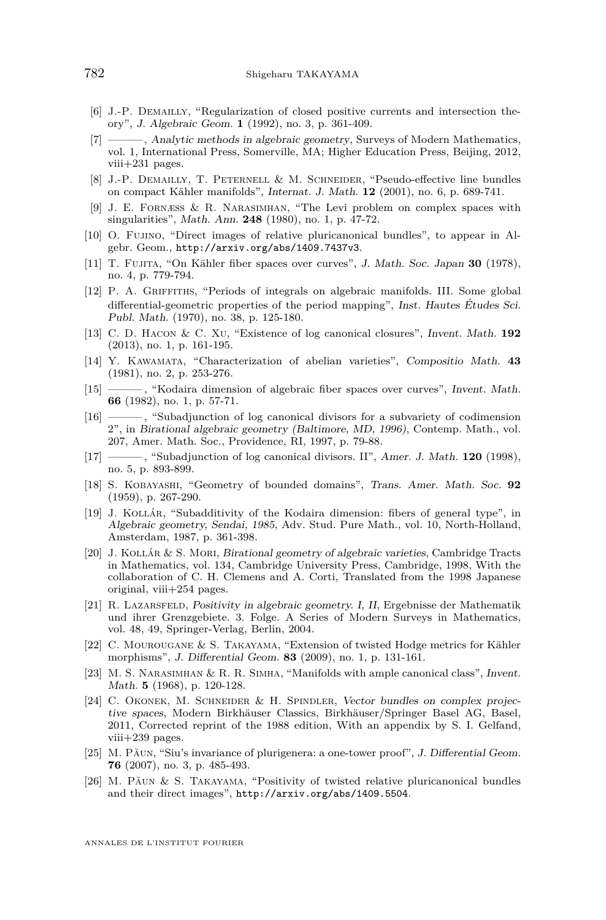- <span id="page-30-13"></span>[6] J.-P. Demailly, "Regularization of closed positive currents and intersection theory", J. Algebraic Geom. **1** (1992), no. 3, p. 361-409.
- <span id="page-30-15"></span>[7] ——— , Analytic methods in algebraic geometry, Surveys of Modern Mathematics, vol. 1, International Press, Somerville, MA; Higher Education Press, Beijing, 2012, viii+231 pages.
- <span id="page-30-14"></span>[8] J.-P. Demailly, T. Peternell & M. Schneider, "Pseudo-effective line bundles on compact Kähler manifolds", Internat. J. Math. **12** (2001), no. 6, p. 689-741.
- <span id="page-30-18"></span>[9] J. E. Fornæss & R. Narasimhan, "The Levi problem on complex spaces with singularities", Math. Ann. **248** (1980), no. 1, p. 47-72.
- <span id="page-30-12"></span>[10] O. Fujino, "Direct images of relative pluricanonical bundles", to appear in Algebr. Geom., <http://arxiv.org/abs/1409.7437v3>.
- <span id="page-30-5"></span>[11] T. Fujita, "On Kähler fiber spaces over curves", J. Math. Soc. Japan **30** (1978), no. 4, p. 779-794.
- <span id="page-30-4"></span>[12] P. A. Griffiths, "Periods of integrals on algebraic manifolds. III. Some global differential-geometric properties of the period mapping", Inst. Hautes Études Sci. Publ. Math. (1970), no. 38, p. 125-180.
- <span id="page-30-20"></span>[13] C. D. Hacon & C. Xu, "Existence of log canonical closures", Invent. Math. **192** (2013), no. 1, p. 161-195.
- <span id="page-30-6"></span>[14] Y. Kawamata, "Characterization of abelian varieties", Compositio Math. **43** (1981), no. 2, p. 253-276.
- <span id="page-30-7"></span>[15] ——— , "Kodaira dimension of algebraic fiber spaces over curves", Invent. Math. **66** (1982), no. 1, p. 57-71.
- <span id="page-30-10"></span>[16] ——— , "Subadjunction of log canonical divisors for a subvariety of codimension 2", in Birational algebraic geometry (Baltimore, MD, 1996), Contemp. Math., vol. 207, Amer. Math. Soc., Providence, RI, 1997, p. 79-88.
- <span id="page-30-11"></span>[17] ——— , "Subadjunction of log canonical divisors. II", Amer. J. Math. **120** (1998), no. 5, p. 893-899.
- <span id="page-30-16"></span>[18] S. Kobayashi, "Geometry of bounded domains", Trans. Amer. Math. Soc. **92** (1959), p. 267-290.
- <span id="page-30-8"></span>[19] J. Kollár, "Subadditivity of the Kodaira dimension: fibers of general type", in Algebraic geometry, Sendai, 1985, Adv. Stud. Pure Math., vol. 10, North-Holland, Amsterdam, 1987, p. 361-398.
- <span id="page-30-19"></span>[20] J. Kollár & S. Mori, Birational geometry of algebraic varieties, Cambridge Tracts in Mathematics, vol. 134, Cambridge University Press, Cambridge, 1998, With the collaboration of C. H. Clemens and A. Corti, Translated from the 1998 Japanese original, viii+254 pages.
- <span id="page-30-1"></span>[21] R. Lazarsfeld, Positivity in algebraic geometry. I, II, Ergebnisse der Mathematik und ihrer Grenzgebiete. 3. Folge. A Series of Modern Surveys in Mathematics, vol. 48, 49, Springer-Verlag, Berlin, 2004.
- <span id="page-30-9"></span>[22] C. Mourougane & S. Takayama, "Extension of twisted Hodge metrics for Kähler morphisms", J. Differential Geom. **83** (2009), no. 1, p. 131-161.
- <span id="page-30-3"></span>[23] M. S. Narasimhan & R. R. Simha, "Manifolds with ample canonical class", Invent. Math. **5** (1968), p. 120-128.
- <span id="page-30-17"></span>[24] C. OKONEK, M. SCHNEIDER & H. SPINDLER, Vector bundles on complex projective spaces, Modern Birkhäuser Classics, Birkhäuser/Springer Basel AG, Basel, 2011, Corrected reprint of the 1988 edition, With an appendix by S. I. Gelfand, viii+239 pages.
- <span id="page-30-2"></span>[25] M. Păun, "Siu's invariance of plurigenera: a one-tower proof", J. Differential Geom. **76** (2007), no. 3, p. 485-493.
- <span id="page-30-0"></span>[26] M. Păun & S. Takayama, "Positivity of twisted relative pluricanonical bundles and their direct images", <http://arxiv.org/abs/1409.5504>.